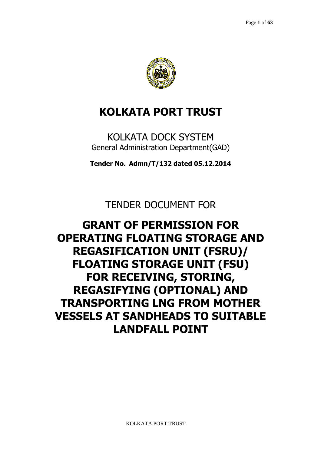

# **KOLKATA PORT TRUST**

KOLKATA DOCK SYSTEM General Administration Department(GAD)

**Tender No. Admn/T/132 dated 05.12.2014** 

TENDER DOCUMENT FOR

# **GRANT OF PERMISSION FOR OPERATING FLOATING STORAGE AND REGASIFICATION UNIT (FSRU)/ FLOATING STORAGE UNIT (FSU) FOR RECEIVING, STORING, REGASIFYING (OPTIONAL) AND TRANSPORTING LNG FROM MOTHER VESSELS AT SANDHEADS TO SUITABLE LANDFALL POINT**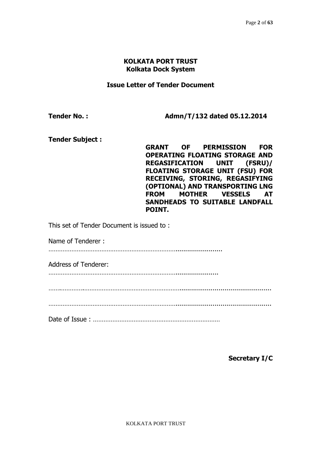#### **KOLKATA PORT TRUST Kolkata Dock System**

#### **Issue Letter of Tender Document**

**Tender No. : Admn/T/132 dated 05.12.2014** 

**Tender Subject :**

**GRANT OF PERMISSION FOR OPERATING FLOATING STORAGE AND REGASIFICATION UNIT (FSRU)/ FLOATING STORAGE UNIT (FSU) FOR RECEIVING, STORING, REGASIFYING (OPTIONAL) AND TRANSPORTING LNG FROM MOTHER VESSELS AT SANDHEADS TO SUITABLE LANDFALL POINT.** 

This set of Tender Document is issued to :

Name of Tenderer :

………………………………………………………………........................

Address of Tenderer:

………………………………………………………………......................

…….………….………………………………………………...............................................

……………………………………………………………….................................................

Date of Issue : ………………………………………………………………

**Secretary I/C**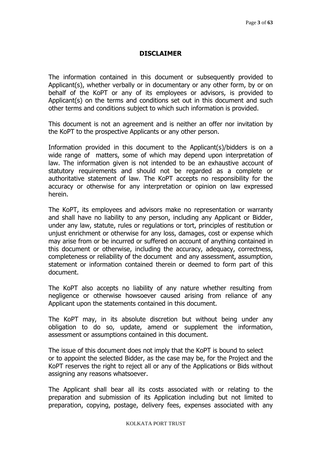## **DISCLAIMER**

The information contained in this document or subsequently provided to Applicant(s), whether verbally or in documentary or any other form, by or on behalf of the KoPT or any of its employees or advisors, is provided to Applicant(s) on the terms and conditions set out in this document and such other terms and conditions subject to which such information is provided.

This document is not an agreement and is neither an offer nor invitation by the KoPT to the prospective Applicants or any other person.

Information provided in this document to the Applicant(s)/bidders is on a wide range of matters, some of which may depend upon interpretation of law. The information given is not intended to be an exhaustive account of statutory requirements and should not be regarded as a complete or authoritative statement of law. The KoPT accepts no responsibility for the accuracy or otherwise for any interpretation or opinion on law expressed herein.

The KoPT, its employees and advisors make no representation or warranty and shall have no liability to any person, including any Applicant or Bidder, under any law, statute, rules or regulations or tort, principles of restitution or unjust enrichment or otherwise for any loss, damages, cost or expense which may arise from or be incurred or suffered on account of anything contained in this document or otherwise, including the accuracy, adequacy, correctness, completeness or reliability of the document and any assessment, assumption, statement or information contained therein or deemed to form part of this document.

The KoPT also accepts no liability of any nature whether resulting from negligence or otherwise howsoever caused arising from reliance of any Applicant upon the statements contained in this document.

The KoPT may, in its absolute discretion but without being under any obligation to do so, update, amend or supplement the information, assessment or assumptions contained in this document.

The issue of this document does not imply that the KoPT is bound to select or to appoint the selected Bidder, as the case may be, for the Project and the KoPT reserves the right to reject all or any of the Applications or Bids without assigning any reasons whatsoever.

The Applicant shall bear all its costs associated with or relating to the preparation and submission of its Application including but not limited to preparation, copying, postage, delivery fees, expenses associated with any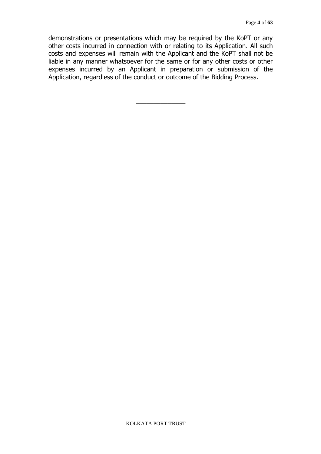demonstrations or presentations which may be required by the KoPT or any other costs incurred in connection with or relating to its Application. All such costs and expenses will remain with the Applicant and the KoPT shall not be liable in any manner whatsoever for the same or for any other costs or other expenses incurred by an Applicant in preparation or submission of the Application, regardless of the conduct or outcome of the Bidding Process.

\_\_\_\_\_\_\_\_\_\_\_\_\_\_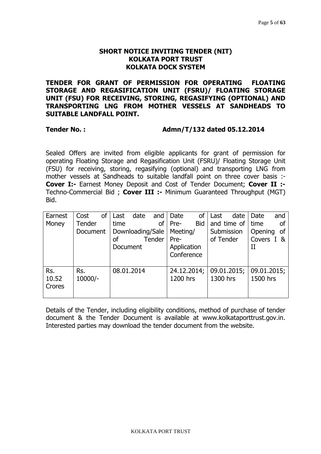## **SHORT NOTICE INVITING TENDER (NIT) KOLKATA PORT TRUST KOLKATA DOCK SYSTEM**

**TENDER FOR GRANT OF PERMISSION FOR OPERATING FLOATING STORAGE AND REGASIFICATION UNIT (FSRU)/ FLOATING STORAGE UNIT (FSU) FOR RECEIVING, STORING, REGASIFYING (OPTIONAL) AND TRANSPORTING LNG FROM MOTHER VESSELS AT SANDHEADS TO SUITABLE LANDFALL POINT.** 

## **Tender No. : Admn/T/132 dated 05.12.2014**

Sealed Offers are invited from eligible applicants for grant of permission for operating Floating Storage and Regasification Unit (FSRU)/ Floating Storage Unit (FSU) for receiving, storing, regasifying (optional) and transporting LNG from mother vessels at Sandheads to suitable landfall point on three cover basis :- **Cover I:-** Earnest Money Deposit and Cost of Tender Document; **Cover II :-**  Techno-Commercial Bid ; **Cover III :-** Minimum Guaranteed Throughput (MGT) Bid.

| Earnest | Cost      | of | Last       | date             | and           | Date        | of         | Last       | date        | Date        | and |
|---------|-----------|----|------------|------------------|---------------|-------------|------------|------------|-------------|-------------|-----|
| Money   | Tender    |    | time       |                  | οf            | Pre-        | <b>Bid</b> |            | and time of | time        | οf  |
|         | Document  |    |            | Downloading/Sale |               | Meeting/    |            | Submission |             | Opening     | 0f  |
|         |           |    | οf         |                  | <b>Tender</b> | Pre-        |            | of Tender  |             | Covers I &  |     |
|         |           |    | Document   |                  |               | Application |            |            |             | $_{\rm II}$ |     |
|         |           |    |            |                  |               | Conference  |            |            |             |             |     |
|         |           |    |            |                  |               |             |            |            |             |             |     |
| Rs.     | Rs.       |    | 08.01.2014 |                  |               | 24.12.2014; |            |            | 09.01.2015; | 09.01.2015; |     |
| 10.52   | $10000/-$ |    |            |                  |               | 1200 hrs    |            | 1300 hrs   |             | 1500 hrs    |     |
| Crores  |           |    |            |                  |               |             |            |            |             |             |     |
|         |           |    |            |                  |               |             |            |            |             |             |     |

Details of the Tender, including eligibility conditions, method of purchase of tender document & the Tender Document is available at www.kolkataporttrust.gov.in. Interested parties may download the tender document from the website.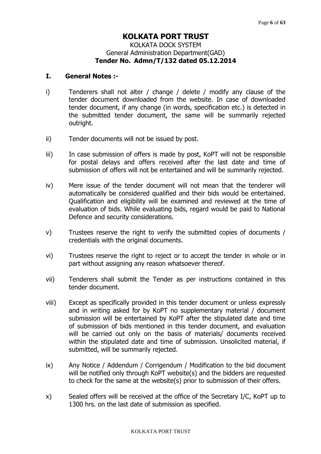# **KOLKATA PORT TRUST**  KOLKATA DOCK SYSTEM General Administration Department(GAD) **Tender No. Admn/T/132 dated 05.12.2014**

## **I. General Notes :-**

- i) Tenderers shall not alter / change / delete / modify any clause of the tender document downloaded from the website. In case of downloaded tender document, if any change (in words, specification etc.) is detected in the submitted tender document, the same will be summarily rejected outright.
- ii) Tender documents will not be issued by post.
- iii) In case submission of offers is made by post, KoPT will not be responsible for postal delays and offers received after the last date and time of submission of offers will not be entertained and will be summarily rejected.
- iv) Mere issue of the tender document will not mean that the tenderer will automatically be considered qualified and their bids would be entertained. Qualification and eligibility will be examined and reviewed at the time of evaluation of bids. While evaluating bids, regard would be paid to National Defence and security considerations.
- v) Trustees reserve the right to verify the submitted copies of documents / credentials with the original documents.
- vi) Trustees reserve the right to reject or to accept the tender in whole or in part without assigning any reason whatsoever thereof.
- vii) Tenderers shall submit the Tender as per instructions contained in this tender document.
- viii) Except as specifically provided in this tender document or unless expressly and in writing asked for by KoPT no supplementary material / document submission will be entertained by KoPT after the stipulated date and time of submission of bids mentioned in this tender document, and evaluation will be carried out only on the basis of materials/ documents received within the stipulated date and time of submission. Unsolicited material, if submitted, will be summarily rejected.
- ix) Any Notice / Addendum / Corrigendum / Modification to the bid document will be notified only through KoPT website(s) and the bidders are requested to check for the same at the website(s) prior to submission of their offers.
- x) Sealed offers will be received at the office of the Secretary I/C, KoPT up to 1300 hrs. on the last date of submission as specified.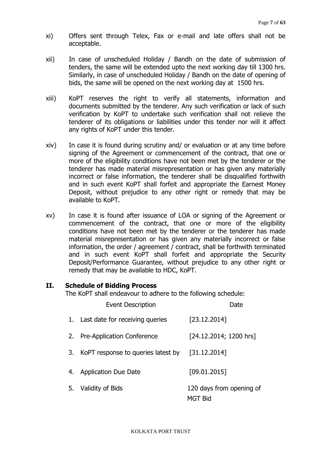- xi) Offers sent through Telex, Fax or e-mail and late offers shall not be acceptable.
- xii) In case of unscheduled Holiday / Bandh on the date of submission of tenders, the same will be extended upto the next working day till 1300 hrs. Similarly, in case of unscheduled Holiday / Bandh on the date of opening of bids, the same will be opened on the next working day at 1500 hrs.
- xiii) KoPT reserves the right to verify all statements, information and documents submitted by the tenderer. Any such verification or lack of such verification by KoPT to undertake such verification shall not relieve the tenderer of its obligations or liabilities under this tender nor will it affect any rights of KoPT under this tender.
- xiv) In case it is found during scrutiny and/ or evaluation or at any time before signing of the Agreement or commencement of the contract, that one or more of the eligibility conditions have not been met by the tenderer or the tenderer has made material misrepresentation or has given any materially incorrect or false information, the tenderer shall be disqualified forthwith and in such event KoPT shall forfeit and appropriate the Earnest Money Deposit, without prejudice to any other right or remedy that may be available to KoPT.
- xv) In case it is found after issuance of LOA or signing of the Agreement or commencement of the contract, that one or more of the eligibility conditions have not been met by the tenderer or the tenderer has made material misrepresentation or has given any materially incorrect or false information, the order / agreement / contract, shall be forthwith terminated and in such event KoPT shall forfeit and appropriate the Security Deposit/Performance Guarantee, without prejudice to any other right or remedy that may be available to HDC, KoPT.

## **II. Schedule of Bidding Process**

The KoPT shall endeavour to adhere to the following schedule:

|    | <b>Event Description</b>           | Date                                       |
|----|------------------------------------|--------------------------------------------|
|    | 1. Last date for receiving queries | [23.12.2014]                               |
|    | 2. Pre-Application Conference      | [24.12.2014; 1200 hrs]                     |
| 3. | KoPT response to queries latest by | [31.12.2014]                               |
| 4. | <b>Application Due Date</b>        | [09.01.2015]                               |
|    | 5. Validity of Bids                | 120 days from opening of<br><b>MGT Bid</b> |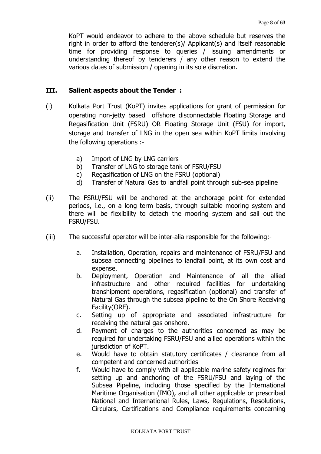KoPT would endeavor to adhere to the above schedule but reserves the right in order to afford the tenderer(s)/ Applicant(s) and itself reasonable time for providing response to queries / issuing amendments or understanding thereof by tenderers / any other reason to extend the various dates of submission / opening in its sole discretion.

#### **III. Salient aspects about the Tender :**

- (i) Kolkata Port Trust (KoPT) invites applications for grant of permission for operating non-jetty based offshore disconnectable Floating Storage and Regasification Unit (FSRU) OR Floating Storage Unit (FSU) for import, storage and transfer of LNG in the open sea within KoPT limits involving the following operations :
	- a) Import of LNG by LNG carriers
	- b) Transfer of LNG to storage tank of FSRU/FSU
	- c) Regasification of LNG on the FSRU (optional)
	- d) Transfer of Natural Gas to landfall point through sub-sea pipeline
- (ii) The FSRU/FSU will be anchored at the anchorage point for extended periods, i.e., on a long term basis, through suitable mooring system and there will be flexibility to detach the mooring system and sail out the FSRU/FSU.
- (iii) The successful operator will be inter-alia responsible for the following:
	- a. Installation, Operation, repairs and maintenance of FSRU/FSU and subsea connecting pipelines to landfall point, at its own cost and expense.
	- b. Deployment, Operation and Maintenance of all the allied infrastructure and other required facilities for undertaking transhipment operations, regasification (optional) and transfer of Natural Gas through the subsea pipeline to the On Shore Receiving Facility(ORF).
	- c. Setting up of appropriate and associated infrastructure for receiving the natural gas onshore.
	- d. Payment of charges to the authorities concerned as may be required for undertaking FSRU/FSU and allied operations within the jurisdiction of KoPT.
	- e. Would have to obtain statutory certificates / clearance from all competent and concerned authorities
	- f. Would have to comply with all applicable marine safety regimes for setting up and anchoring of the FSRU/FSU and laying of the Subsea Pipeline, including those specified by the International Maritime Organisation (IMO), and all other applicable or prescribed National and International Rules, Laws, Regulations, Resolutions, Circulars, Certifications and Compliance requirements concerning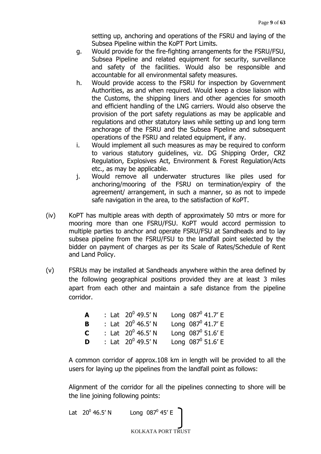setting up, anchoring and operations of the FSRU and laying of the Subsea Pipeline within the KoPT Port Limits.

- g. Would provide for the fire-fighting arrangements for the FSRU/FSU, Subsea Pipeline and related equipment for security, surveillance and safety of the facilities. Would also be responsible and accountable for all environmental safety measures.
- h. Would provide access to the FSRU for inspection by Government Authorities, as and when required. Would keep a close liaison with the Customs, the shipping liners and other agencies for smooth and efficient handling of the LNG carriers. Would also observe the provision of the port safety regulations as may be applicable and regulations and other statutory laws while setting up and long term anchorage of the FSRU and the Subsea Pipeline and subsequent operations of the FSRU and related equipment, if any.
- i. Would implement all such measures as may be required to conform to various statutory guidelines, viz. DG Shipping Order, CRZ Regulation, Explosives Act, Environment & Forest Regulation/Acts etc., as may be applicable.
- j. Would remove all underwater structures like piles used for anchoring/mooring of the FSRU on termination/expiry of the agreement/ arrangement, in such a manner, so as not to impede safe navigation in the area, to the satisfaction of KoPT.
- (iv) KoPT has multiple areas with depth of approximately 50 mtrs or more for mooring more than one FSRU/FSU. KoPT would accord permission to multiple parties to anchor and operate FSRU/FSU at Sandheads and to lay subsea pipeline from the FSRU/FSU to the landfall point selected by the bidder on payment of charges as per its Scale of Rates/Schedule of Rent and Land Policy.
- (v) FSRUs may be installed at Sandheads anywhere within the area defined by the following geographical positions provided they are at least 3 miles apart from each other and maintain a safe distance from the pipeline corridor.

| A           | : Lat $20^0$ 49.5' N | Long $087^0$ 41.7' E       |
|-------------|----------------------|----------------------------|
| B           | : Lat $20^0$ 46.5' N | Long $087^0$ 41.7' E       |
| $\mathbf C$ | : Lat $20^0$ 46.5' N | Long $087^0$ 51.6' E       |
| D           | : Lat $20^0$ 49.5' N | Long $087^{\circ}$ 51.6' E |

A common corridor of approx.108 km in length will be provided to all the users for laying up the pipelines from the landfall point as follows:

Alignment of the corridor for all the pipelines connecting to shore will be the line joining following points:

Lat  $20^0$  46.5' N

46.5' N Long  $087^{\circ}$  45' E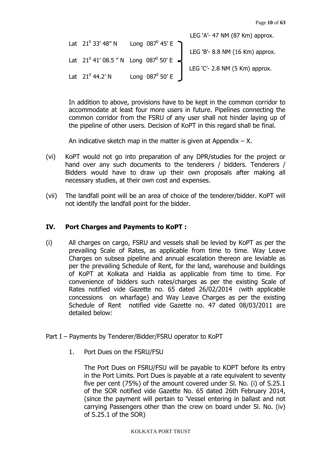LEG 'A'- 47 NM (87 Km) approx. Lat  $21^0$  33' 48" N Long 087 $^0$  45' E LEG 'B'- 8.8 NM (16 Km) approx. Lat  $21^0$  41' 08.5 " N Long 087 $^0$  50' E LEG 'C'- 2.8 NM (5 Km) approx. Lat 21<sup>0</sup> 44.2' N Long 087<sup>0</sup> Long  $087^0$  50' E

In addition to above, provisions have to be kept in the common corridor to accommodate at least four more users in future. Pipelines connecting the common corridor from the FSRU of any user shall not hinder laying up of the pipeline of other users. Decision of KoPT in this regard shall be final.

An indicative sketch map in the matter is given at Appendix  $- X$ .

- (vi) KoPT would not go into preparation of any DPR/studies for the project or hand over any such documents to the tenderers / bidders. Tenderers / Bidders would have to draw up their own proposals after making all necessary studies, at their own cost and expenses.
- (vii) The landfall point will be an area of choice of the tenderer/bidder. KoPT will not identify the landfall point for the bidder.

## **IV. Port Charges and Payments to KoPT :**

- (i) All charges on cargo, FSRU and vessels shall be levied by KoPT as per the prevailing Scale of Rates, as applicable from time to time. Way Leave Charges on subsea pipeline and annual escalation thereon are leviable as per the prevailing Schedule of Rent, for the land, warehouse and buildings of KoPT at Kolkata and Haldia as applicable from time to time. For convenience of bidders such rates/charges as per the existing Scale of Rates notified vide Gazette no. 65 dated 26/02/2014 (with applicable concessions on wharfage) and Way Leave Charges as per the existing Schedule of Rent notified vide Gazette no. 47 dated 08/03/2011 are detailed below:
- Part I Payments by Tenderer/Bidder/FSRU operator to KoPT
	- 1. Port Dues on the FSRU/FSU

The Port Dues on FSRU/FSU will be payable to KOPT before its entry in the Port Limits. Port Dues is payable at a rate equivalent to seventy five per cent (75%) of the amount covered under Sl. No. (i) of S.25.1 of the SOR notified vide Gazette No. 65 dated 26th February 2014, (since the payment will pertain to 'Vessel entering in ballast and not carrying Passengers other than the crew on board under Sl. No. (iv) of S.25.1 of the SOR)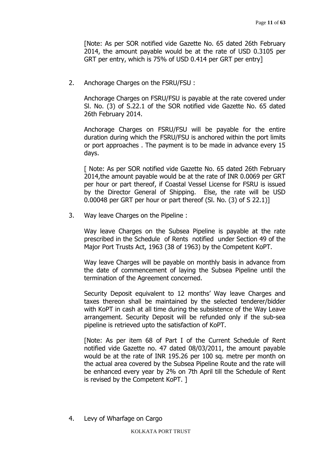[Note: As per SOR notified vide Gazette No. 65 dated 26th February 2014, the amount payable would be at the rate of USD 0.3105 per GRT per entry, which is 75% of USD 0.414 per GRT per entry]

2. Anchorage Charges on the FSRU/FSU :

Anchorage Charges on FSRU/FSU is payable at the rate covered under Sl. No. (3) of S.22.1 of the SOR notified vide Gazette No. 65 dated 26th February 2014.

Anchorage Charges on FSRU/FSU will be payable for the entire duration during which the FSRU/FSU is anchored within the port limits or port approaches . The payment is to be made in advance every 15 days.

[ Note: As per SOR notified vide Gazette No. 65 dated 26th February 2014,the amount payable would be at the rate of INR 0.0069 per GRT per hour or part thereof, if Coastal Vessel License for FSRU is issued by the Director General of Shipping. Else, the rate will be USD 0.00048 per GRT per hour or part thereof (Sl. No. (3) of S 22.1)]

3. Way leave Charges on the Pipeline :

Way leave Charges on the Subsea Pipeline is payable at the rate prescribed in the Schedule of Rents notified under Section 49 of the Major Port Trusts Act, 1963 (38 of 1963) by the Competent KoPT.

Way leave Charges will be payable on monthly basis in advance from the date of commencement of laying the Subsea Pipeline until the termination of the Agreement concerned.

Security Deposit equivalent to 12 months' Way leave Charges and taxes thereon shall be maintained by the selected tenderer/bidder with KoPT in cash at all time during the subsistence of the Way Leave arrangement. Security Deposit will be refunded only if the sub-sea pipeline is retrieved upto the satisfaction of KoPT.

[Note: As per item 68 of Part I of the Current Schedule of Rent notified vide Gazette no. 47 dated 08/03/2011, the amount payable would be at the rate of INR 195.26 per 100 sq. metre per month on the actual area covered by the Subsea Pipeline Route and the rate will be enhanced every year by 2% on 7th April till the Schedule of Rent is revised by the Competent KoPT. ]

4. Levy of Wharfage on Cargo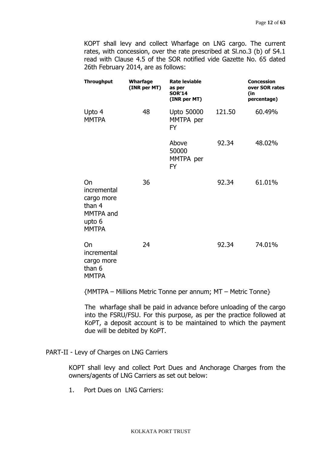KOPT shall levy and collect Wharfage on LNG cargo. The current rates, with concession, over the rate prescribed at Sl.no.3 (b) of S4.1 read with Clause 4.5 of the SOR notified vide Gazette No. 65 dated 26th February 2014, are as follows:

| <b>Throughput</b>                                                                | Wharfage<br>(INR per MT) | <b>Rate leviable</b><br>as per<br><b>SOR'14</b><br>(INR per MT) |        | <b>Concession</b><br>over SOR rates<br>(in<br>percentage) |
|----------------------------------------------------------------------------------|--------------------------|-----------------------------------------------------------------|--------|-----------------------------------------------------------|
| Upto 4<br><b>MMTPA</b>                                                           | 48                       | <b>Upto 50000</b><br>MMTPA per<br><b>FY</b>                     | 121.50 | 60.49%                                                    |
|                                                                                  |                          | Above<br>50000<br>MMTPA per<br><b>FY</b>                        | 92.34  | 48.02%                                                    |
| On<br>incremental<br>cargo more<br>than 4<br>MMTPA and<br>upto 6<br><b>MMTPA</b> | 36                       |                                                                 | 92.34  | 61.01%                                                    |
| On<br>incremental<br>cargo more<br>than 6<br><b>MMTPA</b>                        | 24                       |                                                                 | 92.34  | 74.01%                                                    |

{MMTPA – Millions Metric Tonne per annum; MT – Metric Tonne}

The wharfage shall be paid in advance before unloading of the cargo into the FSRU/FSU. For this purpose, as per the practice followed at KoPT, a deposit account is to be maintained to which the payment due will be debited by KoPT.

PART-II - Levy of Charges on LNG Carriers

KOPT shall levy and collect Port Dues and Anchorage Charges from the owners/agents of LNG Carriers as set out below:

1. Port Dues on LNG Carriers: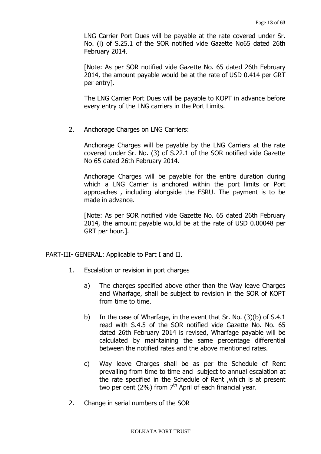LNG Carrier Port Dues will be payable at the rate covered under Sr. No. (i) of S.25.1 of the SOR notified vide Gazette No65 dated 26th February 2014.

[Note: As per SOR notified vide Gazette No. 65 dated 26th February 2014, the amount payable would be at the rate of USD 0.414 per GRT per entry].

The LNG Carrier Port Dues will be payable to KOPT in advance before every entry of the LNG carriers in the Port Limits.

2. Anchorage Charges on LNG Carriers:

Anchorage Charges will be payable by the LNG Carriers at the rate covered under Sr. No. (3) of S.22.1 of the SOR notified vide Gazette No 65 dated 26th February 2014.

Anchorage Charges will be payable for the entire duration during which a LNG Carrier is anchored within the port limits or Port approaches , including alongside the FSRU. The payment is to be made in advance.

[Note: As per SOR notified vide Gazette No. 65 dated 26th February 2014, the amount payable would be at the rate of USD 0.00048 per GRT per hour.].

#### PART-III- GENERAL: Applicable to Part I and II.

- 1. Escalation or revision in port charges
	- a) The charges specified above other than the Way leave Charges and Wharfage, shall be subject to revision in the SOR of KOPT from time to time.
	- b) In the case of Wharfage, in the event that Sr. No. (3)(b) of S.4.1 read with S.4.5 of the SOR notified vide Gazette No. No. 65 dated 26th February 2014 is revised, Wharfage payable will be calculated by maintaining the same percentage differential between the notified rates and the above mentioned rates.
	- c) Way leave Charges shall be as per the Schedule of Rent prevailing from time to time and subject to annual escalation at the rate specified in the Schedule of Rent ,which is at present two per cent (2%) from  $7<sup>th</sup>$  April of each financial year.
- 2. Change in serial numbers of the SOR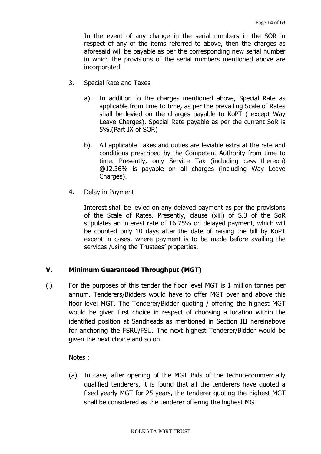In the event of any change in the serial numbers in the SOR in respect of any of the items referred to above, then the charges as aforesaid will be payable as per the corresponding new serial number in which the provisions of the serial numbers mentioned above are incorporated.

- 3. Special Rate and Taxes
	- a). In addition to the charges mentioned above, Special Rate as applicable from time to time, as per the prevailing Scale of Rates shall be levied on the charges payable to KoPT ( except Way Leave Charges). Special Rate payable as per the current SoR is 5%.(Part IX of SOR)
	- b). All applicable Taxes and duties are leviable extra at the rate and conditions prescribed by the Competent Authority from time to time. Presently, only Service Tax (including cess thereon) @12.36% is payable on all charges (including Way Leave Charges).
- 4. Delay in Payment

Interest shall be levied on any delayed payment as per the provisions of the Scale of Rates. Presently, clause (xiii) of S.3 of the SoR stipulates an interest rate of 16.75% on delayed payment, which will be counted only 10 days after the date of raising the bill by KoPT except in cases, where payment is to be made before availing the services /using the Trustees' properties.

## **V. Minimum Guaranteed Throughput (MGT)**

(i) For the purposes of this tender the floor level MGT is 1 million tonnes per annum. Tenderers/Bidders would have to offer MGT over and above this floor level MGT. The Tenderer/Bidder quoting / offering the highest MGT would be given first choice in respect of choosing a location within the identified position at Sandheads as mentioned in Section III hereinabove for anchoring the FSRU/FSU. The next highest Tenderer/Bidder would be given the next choice and so on.

Notes :

(a) In case, after opening of the MGT Bids of the techno-commercially qualified tenderers, it is found that all the tenderers have quoted a fixed yearly MGT for 25 years, the tenderer quoting the highest MGT shall be considered as the tenderer offering the highest MGT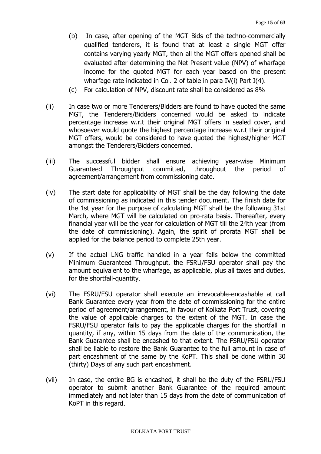- (b) In case, after opening of the MGT Bids of the techno-commercially qualified tenderers, it is found that at least a single MGT offer contains varying yearly MGT, then all the MGT offers opened shall be evaluated after determining the Net Present value (NPV) of wharfage income for the quoted MGT for each year based on the present wharfage rate indicated in Col. 2 of table in para IV(i) Part I(4).
- (c) For calculation of NPV, discount rate shall be considered as 8%
- (ii) In case two or more Tenderers/Bidders are found to have quoted the same MGT, the Tenderers/Bidders concerned would be asked to indicate percentage increase w.r.t their original MGT offers in sealed cover, and whosoever would quote the highest percentage increase w.r.t their original MGT offers, would be considered to have quoted the highest/higher MGT amongst the Tenderers/Bidders concerned.
- (iii) The successful bidder shall ensure achieving year-wise Minimum Guaranteed Throughput committed, throughout the period of agreement/arrangement from commissioning date.
- (iv) The start date for applicability of MGT shall be the day following the date of commissioning as indicated in this tender document. The finish date for the 1st year for the purpose of calculating MGT shall be the following 31st March, where MGT will be calculated on pro-rata basis. Thereafter, every financial year will be the year for calculation of MGT till the 24th year (from the date of commissioning). Again, the spirit of prorata MGT shall be applied for the balance period to complete 25th year.
- (v) If the actual LNG traffic handled in a year falls below the committed Minimum Guaranteed Throughput, the FSRU/FSU operator shall pay the amount equivalent to the wharfage, as applicable, plus all taxes and duties, for the shortfall-quantity.
- (vi) The FSRU/FSU operator shall execute an irrevocable-encashable at call Bank Guarantee every year from the date of commissioning for the entire period of agreement/arrangement, in favour of Kolkata Port Trust, covering the value of applicable charges to the extent of the MGT. In case the FSRU/FSU operator fails to pay the applicable charges for the shortfall in quantity, if any, within 15 days from the date of the communication, the Bank Guarantee shall be encashed to that extent. The FSRU/FSU operator shall be liable to restore the Bank Guarantee to the full amount in case of part encashment of the same by the KoPT. This shall be done within 30 (thirty) Days of any such part encashment.
- (vii) In case, the entire BG is encashed, it shall be the duty of the FSRU/FSU operator to submit another Bank Guarantee of the required amount immediately and not later than 15 days from the date of communication of KoPT in this regard.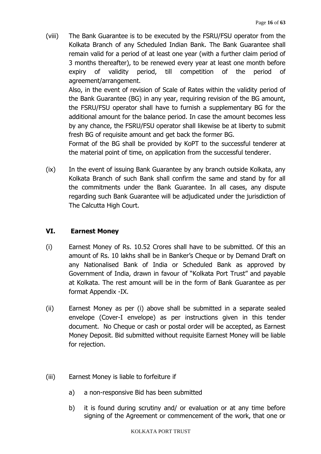(viii) The Bank Guarantee is to be executed by the FSRU/FSU operator from the Kolkata Branch of any Scheduled Indian Bank. The Bank Guarantee shall remain valid for a period of at least one year (with a further claim period of 3 months thereafter), to be renewed every year at least one month before expiry of validity period, till competition of the period of agreement/arrangement.

 Also, in the event of revision of Scale of Rates within the validity period of the Bank Guarantee (BG) in any year, requiring revision of the BG amount, the FSRU/FSU operator shall have to furnish a supplementary BG for the additional amount for the balance period. In case the amount becomes less by any chance, the FSRU/FSU operator shall likewise be at liberty to submit fresh BG of requisite amount and get back the former BG.

 Format of the BG shall be provided by KoPT to the successful tenderer at the material point of time, on application from the successful tenderer.

(ix) In the event of issuing Bank Guarantee by any branch outside Kolkata, any Kolkata Branch of such Bank shall confirm the same and stand by for all the commitments under the Bank Guarantee. In all cases, any dispute regarding such Bank Guarantee will be adjudicated under the jurisdiction of The Calcutta High Court.

# **VI. Earnest Money**

- (i) Earnest Money of Rs. 10.52 Crores shall have to be submitted. Of this an amount of Rs. 10 lakhs shall be in Banker's Cheque or by Demand Draft on any Nationalised Bank of India or Scheduled Bank as approved by Government of India, drawn in favour of "Kolkata Port Trust" and payable at Kolkata. The rest amount will be in the form of Bank Guarantee as per format Appendix -IX.
- (ii) Earnest Money as per (i) above shall be submitted in a separate sealed envelope (Cover-I envelope) as per instructions given in this tender document. No Cheque or cash or postal order will be accepted, as Earnest Money Deposit. Bid submitted without requisite Earnest Money will be liable for rejection.
- (iii) Earnest Money is liable to forfeiture if
	- a) a non-responsive Bid has been submitted
	- b) it is found during scrutiny and/ or evaluation or at any time before signing of the Agreement or commencement of the work, that one or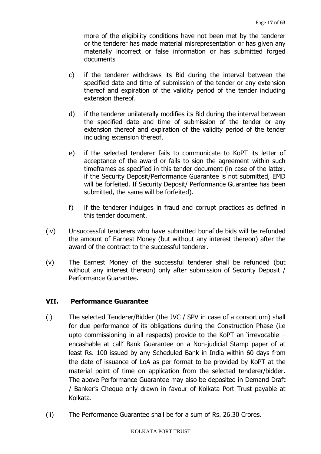more of the eligibility conditions have not been met by the tenderer or the tenderer has made material misrepresentation or has given any materially incorrect or false information or has submitted forged documents

- c) if the tenderer withdraws its Bid during the interval between the specified date and time of submission of the tender or any extension thereof and expiration of the validity period of the tender including extension thereof.
- d) if the tenderer unilaterally modifies its Bid during the interval between the specified date and time of submission of the tender or any extension thereof and expiration of the validity period of the tender including extension thereof.
- e) if the selected tenderer fails to communicate to KoPT its letter of acceptance of the award or fails to sign the agreement within such timeframes as specified in this tender document (in case of the latter, if the Security Deposit/Performance Guarantee is not submitted, EMD will be forfeited. If Security Deposit/ Performance Guarantee has been submitted, the same will be forfeited).
- f) if the tenderer indulges in fraud and corrupt practices as defined in this tender document.
- (iv) Unsuccessful tenderers who have submitted bonafide bids will be refunded the amount of Earnest Money (but without any interest thereon) after the award of the contract to the successful tenderer.
- (v) The Earnest Money of the successful tenderer shall be refunded (but without any interest thereon) only after submission of Security Deposit / Performance Guarantee.

# **VII. Performance Guarantee**

- (i) The selected Tenderer/Bidder (the JVC / SPV in case of a consortium) shall for due performance of its obligations during the Construction Phase (i.e upto commissioning in all respects) provide to the KoPT an 'irrevocable – encashable at call' Bank Guarantee on a Non-judicial Stamp paper of at least Rs. 100 issued by any Scheduled Bank in India within 60 days from the date of issuance of LoA as per format to be provided by KoPT at the material point of time on application from the selected tenderer/bidder. The above Performance Guarantee may also be deposited in Demand Draft / Banker's Cheque only drawn in favour of Kolkata Port Trust payable at Kolkata.
- (ii) The Performance Guarantee shall be for a sum of Rs. 26.30 Crores.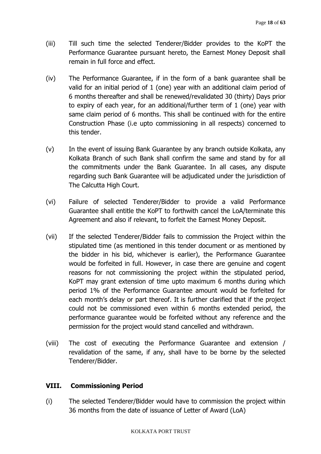- (iii) Till such time the selected Tenderer/Bidder provides to the KoPT the Performance Guarantee pursuant hereto, the Earnest Money Deposit shall remain in full force and effect.
- (iv) The Performance Guarantee, if in the form of a bank guarantee shall be valid for an initial period of 1 (one) year with an additional claim period of 6 months thereafter and shall be renewed/revalidated 30 (thirty) Days prior to expiry of each year, for an additional/further term of 1 (one) year with same claim period of 6 months. This shall be continued with for the entire Construction Phase (i.e upto commissioning in all respects) concerned to this tender.
- (v) In the event of issuing Bank Guarantee by any branch outside Kolkata, any Kolkata Branch of such Bank shall confirm the same and stand by for all the commitments under the Bank Guarantee. In all cases, any dispute regarding such Bank Guarantee will be adjudicated under the jurisdiction of The Calcutta High Court.
- (vi) Failure of selected Tenderer/Bidder to provide a valid Performance Guarantee shall entitle the KoPT to forthwith cancel the LoA/terminate this Agreement and also if relevant, to forfeit the Earnest Money Deposit.
- (vii) If the selected Tenderer/Bidder fails to commission the Project within the stipulated time (as mentioned in this tender document or as mentioned by the bidder in his bid, whichever is earlier), the Performance Guarantee would be forfeited in full. However, in case there are genuine and cogent reasons for not commissioning the project within the stipulated period, KoPT may grant extension of time upto maximum 6 months during which period 1% of the Performance Guarantee amount would be forfeited for each month's delay or part thereof. It is further clarified that if the project could not be commissioned even within 6 months extended period, the performance guarantee would be forfeited without any reference and the permission for the project would stand cancelled and withdrawn.
- (viii) The cost of executing the Performance Guarantee and extension / revalidation of the same, if any, shall have to be borne by the selected Tenderer/Bidder.

## **VIII. Commissioning Period**

(i) The selected Tenderer/Bidder would have to commission the project within 36 months from the date of issuance of Letter of Award (LoA)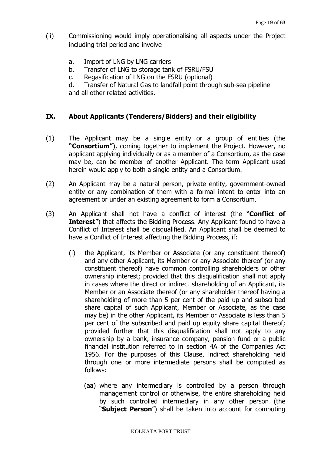- (ii) Commissioning would imply operationalising all aspects under the Project including trial period and involve
	- a. Import of LNG by LNG carriers
	- b. Transfer of LNG to storage tank of FSRU/FSU
	- c. Regasification of LNG on the FSRU (optional)

d. Transfer of Natural Gas to landfall point through sub-sea pipeline and all other related activities.

## **IX. About Applicants (Tenderers/Bidders) and their eligibility**

- (1) The Applicant may be a single entity or a group of entities (the **"Consortium"**), coming together to implement the Project. However, no applicant applying individually or as a member of a Consortium, as the case may be, can be member of another Applicant. The term Applicant used herein would apply to both a single entity and a Consortium.
- (2) An Applicant may be a natural person, private entity, government-owned entity or any combination of them with a formal intent to enter into an agreement or under an existing agreement to form a Consortium.
- (3) An Applicant shall not have a conflict of interest (the "**Conflict of Interest**") that affects the Bidding Process. Any Applicant found to have a Conflict of Interest shall be disqualified. An Applicant shall be deemed to have a Conflict of Interest affecting the Bidding Process, if:
	- (i) the Applicant, its Member or Associate (or any constituent thereof) and any other Applicant, its Member or any Associate thereof (or any constituent thereof) have common controlling shareholders or other ownership interest; provided that this disqualification shall not apply in cases where the direct or indirect shareholding of an Applicant, its Member or an Associate thereof (or any shareholder thereof having a shareholding of more than 5 per cent of the paid up and subscribed share capital of such Applicant, Member or Associate, as the case may be) in the other Applicant, its Member or Associate is less than 5 per cent of the subscribed and paid up equity share capital thereof; provided further that this disqualification shall not apply to any ownership by a bank, insurance company, pension fund or a public financial institution referred to in section 4A of the Companies Act 1956. For the purposes of this Clause, indirect shareholding held through one or more intermediate persons shall be computed as follows:
		- (aa) where any intermediary is controlled by a person through management control or otherwise, the entire shareholding held by such controlled intermediary in any other person (the "**Subject Person**") shall be taken into account for computing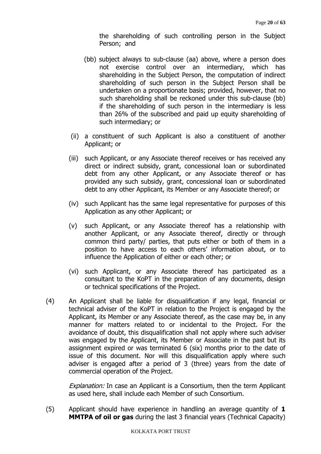the shareholding of such controlling person in the Subject Person; and

- (bb) subject always to sub-clause (aa) above, where a person does not exercise control over an intermediary, which has shareholding in the Subject Person, the computation of indirect shareholding of such person in the Subject Person shall be undertaken on a proportionate basis; provided, however, that no such shareholding shall be reckoned under this sub-clause (bb) if the shareholding of such person in the intermediary is less than 26% of the subscribed and paid up equity shareholding of such intermediary; or
- (ii) a constituent of such Applicant is also a constituent of another Applicant; or
- (iii) such Applicant, or any Associate thereof receives or has received any direct or indirect subsidy, grant, concessional loan or subordinated debt from any other Applicant, or any Associate thereof or has provided any such subsidy, grant, concessional loan or subordinated debt to any other Applicant, its Member or any Associate thereof; or
- (iv) such Applicant has the same legal representative for purposes of this Application as any other Applicant; or
- (v) such Applicant, or any Associate thereof has a relationship with another Applicant, or any Associate thereof, directly or through common third party/ parties, that puts either or both of them in a position to have access to each others' information about, or to influence the Application of either or each other; or
- (vi) such Applicant, or any Associate thereof has participated as a consultant to the KoPT in the preparation of any documents, design or technical specifications of the Project.
- (4) An Applicant shall be liable for disqualification if any legal, financial or technical adviser of the KoPT in relation to the Project is engaged by the Applicant, its Member or any Associate thereof, as the case may be, in any manner for matters related to or incidental to the Project. For the avoidance of doubt, this disqualification shall not apply where such adviser was engaged by the Applicant, its Member or Associate in the past but its assignment expired or was terminated 6 (six) months prior to the date of issue of this document. Nor will this disqualification apply where such adviser is engaged after a period of 3 (three) years from the date of commercial operation of the Project.

**Explanation:** In case an Applicant is a Consortium, then the term Applicant as used here, shall include each Member of such Consortium.

(5) Applicant should have experience in handling an average quantity of **1 MMTPA of oil or gas** during the last 3 financial years (Technical Capacity)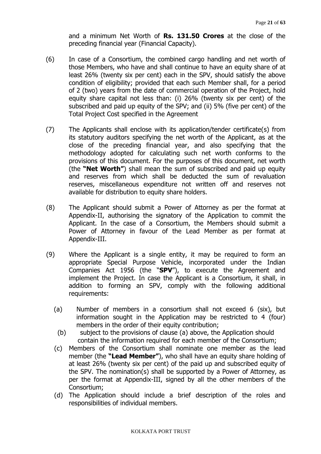and a minimum Net Worth of **Rs. 131.50 Crores** at the close of the preceding financial year (Financial Capacity).

- (6) In case of a Consortium, the combined cargo handling and net worth of those Members, who have and shall continue to have an equity share of at least 26% (twenty six per cent) each in the SPV, should satisfy the above condition of eligibility; provided that each such Member shall, for a period of 2 (two) years from the date of commercial operation of the Project, hold equity share capital not less than: (i) 26% (twenty six per cent) of the subscribed and paid up equity of the SPV; and (ii) 5% (five per cent) of the Total Project Cost specified in the Agreement
- (7) The Applicants shall enclose with its application/tender certificate(s) from its statutory auditors specifying the net worth of the Applicant, as at the close of the preceding financial year, and also specifying that the methodology adopted for calculating such net worth conforms to the provisions of this document. For the purposes of this document, net worth (the **"Net Worth"**) shall mean the sum of subscribed and paid up equity and reserves from which shall be deducted the sum of revaluation reserves, miscellaneous expenditure not written off and reserves not available for distribution to equity share holders.
- (8) The Applicant should submit a Power of Attorney as per the format at Appendix-II, authorising the signatory of the Application to commit the Applicant. In the case of a Consortium, the Members should submit a Power of Attorney in favour of the Lead Member as per format at Appendix-III.
- (9) Where the Applicant is a single entity, it may be required to form an appropriate Special Purpose Vehicle, incorporated under the Indian Companies Act 1956 (the "**SPV**"), to execute the Agreement and implement the Project. In case the Applicant is a Consortium, it shall, in addition to forming an SPV, comply with the following additional requirements:
	- (a) Number of members in a consortium shall not exceed 6 (six), but information sought in the Application may be restricted to 4 (four) members in the order of their equity contribution;
	- (b) subject to the provisions of clause (a) above, the Application should contain the information required for each member of the Consortium;
	- (c) Members of the Consortium shall nominate one member as the lead member (the **"Lead Member"**), who shall have an equity share holding of at least 26% (twenty six per cent) of the paid up and subscribed equity of the SPV. The nomination(s) shall be supported by a Power of Attorney, as per the format at Appendix-III, signed by all the other members of the Consortium;
	- (d) The Application should include a brief description of the roles and responsibilities of individual members.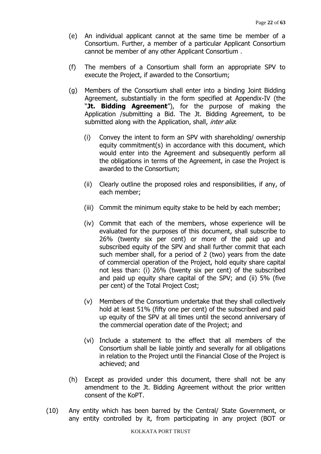- (e) An individual applicant cannot at the same time be member of a Consortium. Further, a member of a particular Applicant Consortium cannot be member of any other Applicant Consortium .
- (f) The members of a Consortium shall form an appropriate SPV to execute the Project, if awarded to the Consortium;
- (g) Members of the Consortium shall enter into a binding Joint Bidding Agreement, substantially in the form specified at Appendix-IV (the "Jt. Bidding Agreement"), for the purpose of making the Application /submitting a Bid. The Jt. Bidding Agreement, to be submitted along with the Application, shall, *inter alia*:
	- (i) Convey the intent to form an SPV with shareholding/ ownership equity commitment(s) in accordance with this document, which would enter into the Agreement and subsequently perform all the obligations in terms of the Agreement, in case the Project is awarded to the Consortium;
	- (ii) Clearly outline the proposed roles and responsibilities, if any, of each member;
	- (iii) Commit the minimum equity stake to be held by each member;
	- (iv) Commit that each of the members, whose experience will be evaluated for the purposes of this document, shall subscribe to 26% (twenty six per cent) or more of the paid up and subscribed equity of the SPV and shall further commit that each such member shall, for a period of 2 (two) years from the date of commercial operation of the Project, hold equity share capital not less than: (i) 26% (twenty six per cent) of the subscribed and paid up equity share capital of the SPV; and (ii) 5% (five per cent) of the Total Project Cost;
	- (v) Members of the Consortium undertake that they shall collectively hold at least 51% (fifty one per cent) of the subscribed and paid up equity of the SPV at all times until the second anniversary of the commercial operation date of the Project; and
	- (vi) Include a statement to the effect that all members of the Consortium shall be liable jointly and severally for all obligations in relation to the Project until the Financial Close of the Project is achieved; and
- (h) Except as provided under this document, there shall not be any amendment to the Jt. Bidding Agreement without the prior written consent of the KoPT.
- (10) Any entity which has been barred by the Central/ State Government, or any entity controlled by it, from participating in any project (BOT or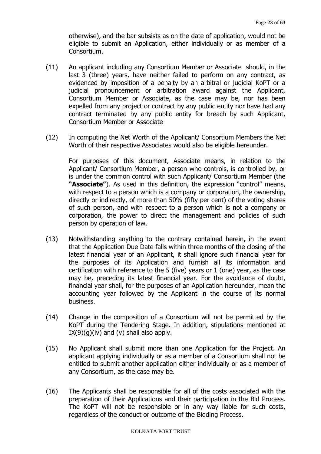otherwise), and the bar subsists as on the date of application, would not be eligible to submit an Application, either individually or as member of a Consortium.

- (11) An applicant including any Consortium Member or Associate should, in the last 3 (three) years, have neither failed to perform on any contract, as evidenced by imposition of a penalty by an arbitral or judicial KoPT or a judicial pronouncement or arbitration award against the Applicant, Consortium Member or Associate, as the case may be, nor has been expelled from any project or contract by any public entity nor have had any contract terminated by any public entity for breach by such Applicant, Consortium Member or Associate
- (12) In computing the Net Worth of the Applicant/ Consortium Members the Net Worth of their respective Associates would also be eligible hereunder.

For purposes of this document, Associate means, in relation to the Applicant/ Consortium Member, a person who controls, is controlled by, or is under the common control with such Applicant/ Consortium Member (the **"Associate"**). As used in this definition, the expression "control" means, with respect to a person which is a company or corporation, the ownership, directly or indirectly, of more than 50% (fifty per cent) of the voting shares of such person, and with respect to a person which is not a company or corporation, the power to direct the management and policies of such person by operation of law.

- (13) Notwithstanding anything to the contrary contained herein, in the event that the Application Due Date falls within three months of the closing of the latest financial year of an Applicant, it shall ignore such financial year for the purposes of its Application and furnish all its information and certification with reference to the 5 (five) years or 1 (one) year, as the case may be, preceding its latest financial year. For the avoidance of doubt, financial year shall, for the purposes of an Application hereunder, mean the accounting year followed by the Applicant in the course of its normal business.
- (14) Change in the composition of a Consortium will not be permitted by the KoPT during the Tendering Stage. In addition, stipulations mentioned at  $IX(9)(g)(iv)$  and  $(v)$  shall also apply.
- (15) No Applicant shall submit more than one Application for the Project. An applicant applying individually or as a member of a Consortium shall not be entitled to submit another application either individually or as a member of any Consortium, as the case may be.
- (16) The Applicants shall be responsible for all of the costs associated with the preparation of their Applications and their participation in the Bid Process. The KoPT will not be responsible or in any way liable for such costs, regardless of the conduct or outcome of the Bidding Process.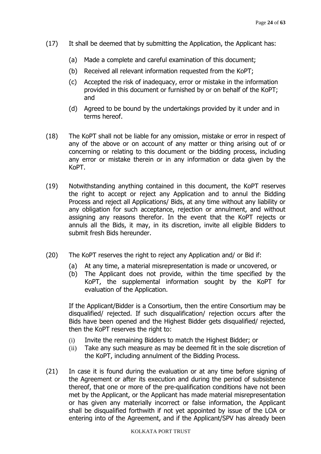- (17) It shall be deemed that by submitting the Application, the Applicant has:
	- (a) Made a complete and careful examination of this document;
	- (b) Received all relevant information requested from the KoPT;
	- (c) Accepted the risk of inadequacy, error or mistake in the information provided in this document or furnished by or on behalf of the KoPT; and
	- (d) Agreed to be bound by the undertakings provided by it under and in terms hereof.
- (18) The KoPT shall not be liable for any omission, mistake or error in respect of any of the above or on account of any matter or thing arising out of or concerning or relating to this document or the bidding process, including any error or mistake therein or in any information or data given by the KoPT.
- (19) Notwithstanding anything contained in this document, the KoPT reserves the right to accept or reject any Application and to annul the Bidding Process and reject all Applications/ Bids, at any time without any liability or any obligation for such acceptance, rejection or annulment, and without assigning any reasons therefor. In the event that the KoPT rejects or annuls all the Bids, it may, in its discretion, invite all eligible Bidders to submit fresh Bids hereunder.
- (20) The KoPT reserves the right to reject any Application and/ or Bid if:
	- (a) At any time, a material misrepresentation is made or uncovered, or
	- (b) The Applicant does not provide, within the time specified by the KoPT, the supplemental information sought by the KoPT for evaluation of the Application.

If the Applicant/Bidder is a Consortium, then the entire Consortium may be disqualified/ rejected. If such disqualification/ rejection occurs after the Bids have been opened and the Highest Bidder gets disqualified/ rejected, then the KoPT reserves the right to:

- (i) Invite the remaining Bidders to match the Highest Bidder; or
- (ii) Take any such measure as may be deemed fit in the sole discretion of the KoPT, including annulment of the Bidding Process.
- (21) In case it is found during the evaluation or at any time before signing of the Agreement or after its execution and during the period of subsistence thereof, that one or more of the pre-qualification conditions have not been met by the Applicant, or the Applicant has made material misrepresentation or has given any materially incorrect or false information, the Applicant shall be disqualified forthwith if not yet appointed by issue of the LOA or entering into of the Agreement, and if the Applicant/SPV has already been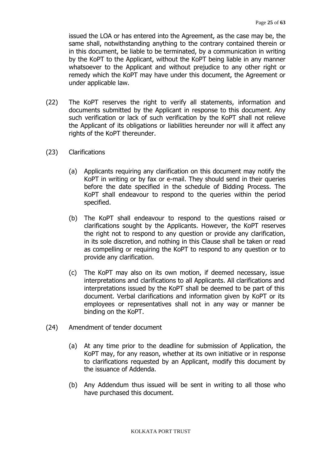issued the LOA or has entered into the Agreement, as the case may be, the same shall, notwithstanding anything to the contrary contained therein or in this document, be liable to be terminated, by a communication in writing by the KoPT to the Applicant, without the KoPT being liable in any manner whatsoever to the Applicant and without prejudice to any other right or remedy which the KoPT may have under this document, the Agreement or under applicable law.

- (22) The KoPT reserves the right to verify all statements, information and documents submitted by the Applicant in response to this document. Any such verification or lack of such verification by the KoPT shall not relieve the Applicant of its obligations or liabilities hereunder nor will it affect any rights of the KoPT thereunder.
- (23) Clarifications
	- (a) Applicants requiring any clarification on this document may notify the KoPT in writing or by fax or e-mail. They should send in their queries before the date specified in the schedule of Bidding Process. The KoPT shall endeavour to respond to the queries within the period specified.
	- (b) The KoPT shall endeavour to respond to the questions raised or clarifications sought by the Applicants. However, the KoPT reserves the right not to respond to any question or provide any clarification, in its sole discretion, and nothing in this Clause shall be taken or read as compelling or requiring the KoPT to respond to any question or to provide any clarification.
	- (c) The KoPT may also on its own motion, if deemed necessary, issue interpretations and clarifications to all Applicants. All clarifications and interpretations issued by the KoPT shall be deemed to be part of this document. Verbal clarifications and information given by KoPT or its employees or representatives shall not in any way or manner be binding on the KoPT.
- (24) Amendment of tender document
	- (a) At any time prior to the deadline for submission of Application, the KoPT may, for any reason, whether at its own initiative or in response to clarifications requested by an Applicant, modify this document by the issuance of Addenda.
	- (b) Any Addendum thus issued will be sent in writing to all those who have purchased this document.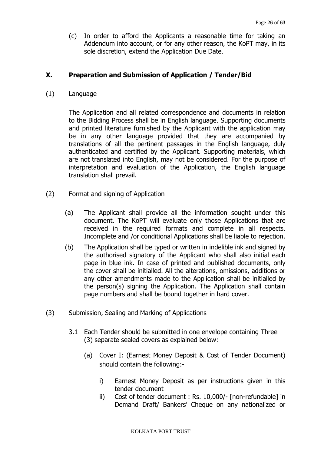(c) In order to afford the Applicants a reasonable time for taking an Addendum into account, or for any other reason, the KoPT may, in its sole discretion, extend the Application Due Date.

# **X. Preparation and Submission of Application / Tender/Bid**

(1) Language

The Application and all related correspondence and documents in relation to the Bidding Process shall be in English language. Supporting documents and printed literature furnished by the Applicant with the application may be in any other language provided that they are accompanied by translations of all the pertinent passages in the English language, duly authenticated and certified by the Applicant. Supporting materials, which are not translated into English, may not be considered. For the purpose of interpretation and evaluation of the Application, the English language translation shall prevail.

- (2) Format and signing of Application
	- (a) The Applicant shall provide all the information sought under this document. The KoPT will evaluate only those Applications that are received in the required formats and complete in all respects. Incomplete and /or conditional Applications shall be liable to rejection.
	- (b) The Application shall be typed or written in indelible ink and signed by the authorised signatory of the Applicant who shall also initial each page in blue ink. In case of printed and published documents, only the cover shall be initialled. All the alterations, omissions, additions or any other amendments made to the Application shall be initialled by the person(s) signing the Application. The Application shall contain page numbers and shall be bound together in hard cover.
- (3) Submission, Sealing and Marking of Applications
	- 3.1 Each Tender should be submitted in one envelope containing Three (3) separate sealed covers as explained below:
		- (a) Cover I: (Earnest Money Deposit & Cost of Tender Document) should contain the following:
			- i) Earnest Money Deposit as per instructions given in this tender document
			- ii) Cost of tender document : Rs. 10,000/- [non-refundable] in Demand Draft/ Bankers' Cheque on any nationalized or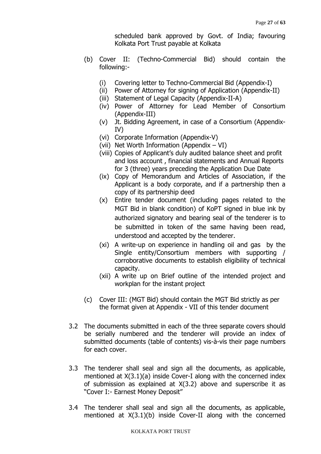scheduled bank approved by Govt. of India; favouring Kolkata Port Trust payable at Kolkata

- (b) Cover II: (Techno-Commercial Bid) should contain the following:-
	- (i) Covering letter to Techno-Commercial Bid (Appendix-I)
	- (ii) Power of Attorney for signing of Application (Appendix-II)
	- (iii) Statement of Legal Capacity (Appendix-II-A)
	- (iv) Power of Attorney for Lead Member of Consortium (Appendix-III)
	- (v) Jt. Bidding Agreement, in case of a Consortium (Appendix-IV)
	- (vi) Corporate Information (Appendix-V)
	- (vii) Net Worth Information (Appendix VI)
	- (viii) Copies of Applicant's duly audited balance sheet and profit and loss account , financial statements and Annual Reports for 3 (three) years preceding the Application Due Date
	- (ix) Copy of Memorandum and Articles of Association, if the Applicant is a body corporate, and if a partnership then a copy of its partnership deed
	- (x) Entire tender document (including pages related to the MGT Bid in blank condition) of KoPT signed in blue ink by authorized signatory and bearing seal of the tenderer is to be submitted in token of the same having been read, understood and accepted by the tenderer.
	- (xi) A write-up on experience in handling oil and gas by the Single entity/Consortium members with supporting / corroborative documents to establish eligibility of technical capacity.
	- (xii) A write up on Brief outline of the intended project and workplan for the instant project
- (c) Cover III: (MGT Bid) should contain the MGT Bid strictly as per the format given at Appendix - VII of this tender document
- 3.2 The documents submitted in each of the three separate covers should be serially numbered and the tenderer will provide an index of submitted documents (table of contents) vis-à-vis their page numbers for each cover.
- 3.3 The tenderer shall seal and sign all the documents, as applicable, mentioned at X(3.1)(a) inside Cover-I along with the concerned index of submission as explained at X(3.2) above and superscribe it as "Cover I:- Earnest Money Deposit"
- 3.4 The tenderer shall seal and sign all the documents, as applicable, mentioned at X(3.1)(b) inside Cover-II along with the concerned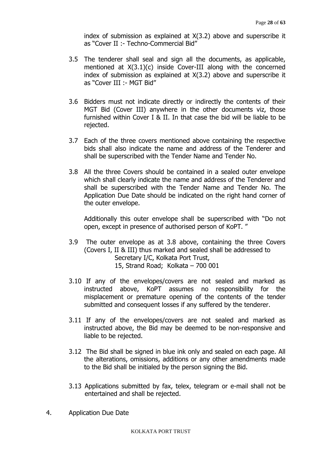index of submission as explained at X(3.2) above and superscribe it as "Cover II :- Techno-Commercial Bid"

- 3.5 The tenderer shall seal and sign all the documents, as applicable, mentioned at X(3.1)(c) inside Cover-III along with the concerned index of submission as explained at X(3.2) above and superscribe it as "Cover III :- MGT Bid"
- 3.6 Bidders must not indicate directly or indirectly the contents of their MGT Bid (Cover III) anywhere in the other documents viz, those furnished within Cover I & II. In that case the bid will be liable to be rejected.
- 3.7 Each of the three covers mentioned above containing the respective bids shall also indicate the name and address of the Tenderer and shall be superscribed with the Tender Name and Tender No.
- 3.8 All the three Covers should be contained in a sealed outer envelope which shall clearly indicate the name and address of the Tenderer and shall be superscribed with the Tender Name and Tender No. The Application Due Date should be indicated on the right hand corner of the outer envelope.

Additionally this outer envelope shall be superscribed with "Do not open, except in presence of authorised person of KoPT. "

- 3.9 The outer envelope as at 3.8 above, containing the three Covers (Covers I, II & III) thus marked and sealed shall be addressed to Secretary I/C, Kolkata Port Trust, 15, Strand Road; Kolkata – 700 001
- 3.10 If any of the envelopes/covers are not sealed and marked as instructed above, KoPT assumes no responsibility for the misplacement or premature opening of the contents of the tender submitted and consequent losses if any suffered by the tenderer.
- 3.11 If any of the envelopes/covers are not sealed and marked as instructed above, the Bid may be deemed to be non-responsive and liable to be rejected.
- 3.12 The Bid shall be signed in blue ink only and sealed on each page. All the alterations, omissions, additions or any other amendments made to the Bid shall be initialed by the person signing the Bid.
- 3.13 Applications submitted by fax, telex, telegram or e-mail shall not be entertained and shall be rejected.
- 4. Application Due Date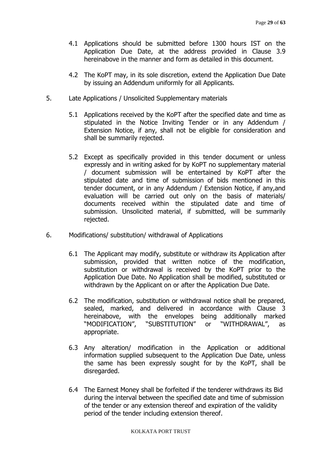- 4.1 Applications should be submitted before 1300 hours IST on the Application Due Date, at the address provided in Clause 3.9 hereinabove in the manner and form as detailed in this document.
- 4.2 The KoPT may, in its sole discretion, extend the Application Due Date by issuing an Addendum uniformly for all Applicants.
- 5. Late Applications / Unsolicited Supplementary materials
	- 5.1 Applications received by the KoPT after the specified date and time as stipulated in the Notice Inviting Tender or in any Addendum / Extension Notice, if any, shall not be eligible for consideration and shall be summarily rejected.
	- 5.2 Except as specifically provided in this tender document or unless expressly and in writing asked for by KoPT no supplementary material / document submission will be entertained by KoPT after the stipulated date and time of submission of bids mentioned in this tender document, or in any Addendum / Extension Notice, if any,and evaluation will be carried out only on the basis of materials/ documents received within the stipulated date and time of submission. Unsolicited material, if submitted, will be summarily rejected.
- 6. Modifications/ substitution/ withdrawal of Applications
	- 6.1 The Applicant may modify, substitute or withdraw its Application after submission, provided that written notice of the modification, substitution or withdrawal is received by the KoPT prior to the Application Due Date. No Application shall be modified, substituted or withdrawn by the Applicant on or after the Application Due Date.
	- 6.2 The modification, substitution or withdrawal notice shall be prepared, sealed, marked, and delivered in accordance with Clause 3 hereinabove, with the envelopes being additionally marked "MODIFICATION", "SUBSTITUTION" or "WITHDRAWAL", as appropriate.
	- 6.3 Any alteration/ modification in the Application or additional information supplied subsequent to the Application Due Date, unless the same has been expressly sought for by the KoPT, shall be disregarded.
	- 6.4 The Earnest Money shall be forfeited if the tenderer withdraws its Bid during the interval between the specified date and time of submission of the tender or any extension thereof and expiration of the validity period of the tender including extension thereof.

#### KOLKATA PORT TRUST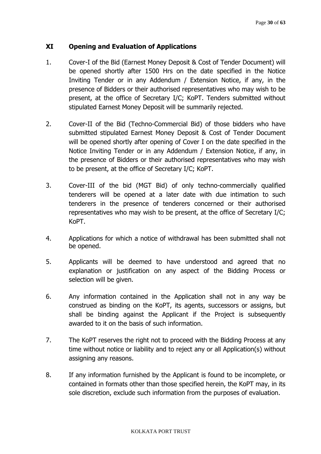# **XI Opening and Evaluation of Applications**

- 1. Cover-I of the Bid (Earnest Money Deposit & Cost of Tender Document) will be opened shortly after 1500 Hrs on the date specified in the Notice Inviting Tender or in any Addendum / Extension Notice, if any, in the presence of Bidders or their authorised representatives who may wish to be present, at the office of Secretary I/C; KoPT. Tenders submitted without stipulated Earnest Money Deposit will be summarily rejected.
- 2. Cover-II of the Bid (Techno-Commercial Bid) of those bidders who have submitted stipulated Earnest Money Deposit & Cost of Tender Document will be opened shortly after opening of Cover I on the date specified in the Notice Inviting Tender or in any Addendum / Extension Notice, if any, in the presence of Bidders or their authorised representatives who may wish to be present, at the office of Secretary I/C; KoPT.
- 3. Cover-III of the bid (MGT Bid) of only techno-commercially qualified tenderers will be opened at a later date with due intimation to such tenderers in the presence of tenderers concerned or their authorised representatives who may wish to be present, at the office of Secretary I/C; KoPT.
- 4. Applications for which a notice of withdrawal has been submitted shall not be opened.
- 5. Applicants will be deemed to have understood and agreed that no explanation or justification on any aspect of the Bidding Process or selection will be given.
- 6. Any information contained in the Application shall not in any way be construed as binding on the KoPT, its agents, successors or assigns, but shall be binding against the Applicant if the Project is subsequently awarded to it on the basis of such information.
- 7. The KoPT reserves the right not to proceed with the Bidding Process at any time without notice or liability and to reject any or all Application(s) without assigning any reasons.
- 8. If any information furnished by the Applicant is found to be incomplete, or contained in formats other than those specified herein, the KoPT may, in its sole discretion, exclude such information from the purposes of evaluation.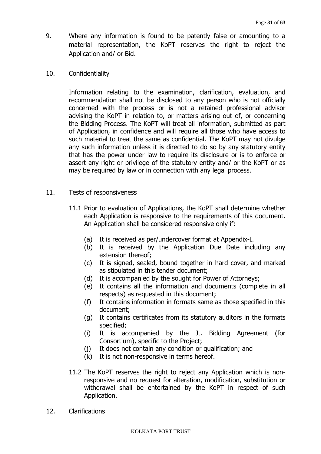- 9. Where any information is found to be patently false or amounting to a material representation, the KoPT reserves the right to reject the Application and/ or Bid.
- 10. Confidentiality

Information relating to the examination, clarification, evaluation, and recommendation shall not be disclosed to any person who is not officially concerned with the process or is not a retained professional advisor advising the KoPT in relation to, or matters arising out of, or concerning the Bidding Process. The KoPT will treat all information, submitted as part of Application, in confidence and will require all those who have access to such material to treat the same as confidential. The KoPT may not divulge any such information unless it is directed to do so by any statutory entity that has the power under law to require its disclosure or is to enforce or assert any right or privilege of the statutory entity and/ or the KoPT or as may be required by law or in connection with any legal process.

- 11. Tests of responsiveness
	- 11.1 Prior to evaluation of Applications, the KoPT shall determine whether each Application is responsive to the requirements of this document. An Application shall be considered responsive only if:
		- (a) It is received as per/undercover format at Appendix-I.
		- (b) It is received by the Application Due Date including any extension thereof;
		- (c) It is signed, sealed, bound together in hard cover, and marked as stipulated in this tender document;
		- (d) It is accompanied by the sought for Power of Attorneys;
		- (e) It contains all the information and documents (complete in all respects) as requested in this document;
		- (f) It contains information in formats same as those specified in this document;
		- (g) It contains certificates from its statutory auditors in the formats specified;
		- (i) It is accompanied by the Jt. Bidding Agreement (for Consortium), specific to the Project;
		- (j) It does not contain any condition or qualification; and
		- (k) It is not non-responsive in terms hereof.
	- 11.2 The KoPT reserves the right to reject any Application which is nonresponsive and no request for alteration, modification, substitution or withdrawal shall be entertained by the KoPT in respect of such Application.
- 12. Clarifications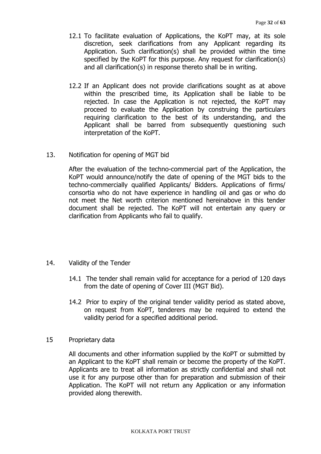- 12.1 To facilitate evaluation of Applications, the KoPT may, at its sole discretion, seek clarifications from any Applicant regarding its Application. Such clarification(s) shall be provided within the time specified by the KoPT for this purpose. Any request for clarification(s) and all clarification(s) in response thereto shall be in writing.
- 12.2 If an Applicant does not provide clarifications sought as at above within the prescribed time, its Application shall be liable to be rejected. In case the Application is not rejected, the KoPT may proceed to evaluate the Application by construing the particulars requiring clarification to the best of its understanding, and the Applicant shall be barred from subsequently questioning such interpretation of the KoPT.
- 13. Notification for opening of MGT bid

After the evaluation of the techno-commercial part of the Application, the KoPT would announce/notify the date of opening of the MGT bids to the techno-commercially qualified Applicants/ Bidders. Applications of firms/ consortia who do not have experience in handling oil and gas or who do not meet the Net worth criterion mentioned hereinabove in this tender document shall be rejected. The KoPT will not entertain any query or clarification from Applicants who fail to qualify.

## 14. Validity of the Tender

- 14.1 The tender shall remain valid for acceptance for a period of 120 days from the date of opening of Cover III (MGT Bid).
- 14.2 Prior to expiry of the original tender validity period as stated above, on request from KoPT, tenderers may be required to extend the validity period for a specified additional period.

#### 15 Proprietary data

All documents and other information supplied by the KoPT or submitted by an Applicant to the KoPT shall remain or become the property of the KoPT. Applicants are to treat all information as strictly confidential and shall not use it for any purpose other than for preparation and submission of their Application. The KoPT will not return any Application or any information provided along therewith.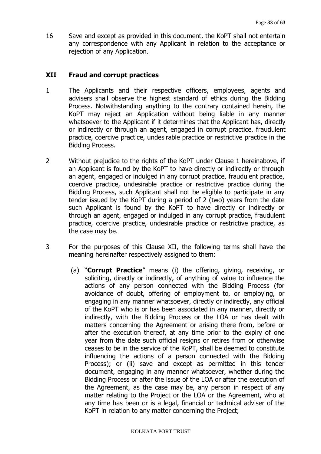16 Save and except as provided in this document, the KoPT shall not entertain any correspondence with any Applicant in relation to the acceptance or rejection of any Application.

# **XII Fraud and corrupt practices**

- 1 The Applicants and their respective officers, employees, agents and advisers shall observe the highest standard of ethics during the Bidding Process. Notwithstanding anything to the contrary contained herein, the KoPT may reject an Application without being liable in any manner whatsoever to the Applicant if it determines that the Applicant has, directly or indirectly or through an agent, engaged in corrupt practice, fraudulent practice, coercive practice, undesirable practice or restrictive practice in the Bidding Process.
- 2 Without prejudice to the rights of the KoPT under Clause 1 hereinabove, if an Applicant is found by the KoPT to have directly or indirectly or through an agent, engaged or indulged in any corrupt practice, fraudulent practice, coercive practice, undesirable practice or restrictive practice during the Bidding Process, such Applicant shall not be eligible to participate in any tender issued by the KoPT during a period of 2 (two) years from the date such Applicant is found by the KoPT to have directly or indirectly or through an agent, engaged or indulged in any corrupt practice, fraudulent practice, coercive practice, undesirable practice or restrictive practice, as the case may be.
- 3 For the purposes of this Clause XII, the following terms shall have the meaning hereinafter respectively assigned to them:
	- (a) "**Corrupt Practice**" means (i) the offering, giving, receiving, or soliciting, directly or indirectly, of anything of value to influence the actions of any person connected with the Bidding Process (for avoidance of doubt, offering of employment to, or employing, or engaging in any manner whatsoever, directly or indirectly, any official of the KoPT who is or has been associated in any manner, directly or indirectly, with the Bidding Process or the LOA or has dealt with matters concerning the Agreement or arising there from, before or after the execution thereof, at any time prior to the expiry of one year from the date such official resigns or retires from or otherwise ceases to be in the service of the KoPT, shall be deemed to constitute influencing the actions of a person connected with the Bidding Process); or (ii) save and except as permitted in this tender document, engaging in any manner whatsoever, whether during the Bidding Process or after the issue of the LOA or after the execution of the Agreement, as the case may be, any person in respect of any matter relating to the Project or the LOA or the Agreement, who at any time has been or is a legal, financial or technical adviser of the KoPT in relation to any matter concerning the Project;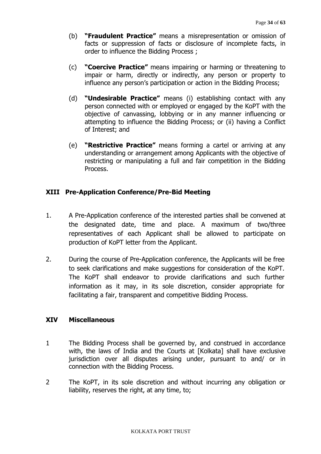- (b) **"Fraudulent Practice"** means a misrepresentation or omission of facts or suppression of facts or disclosure of incomplete facts, in order to influence the Bidding Process ;
- (c) **"Coercive Practice"** means impairing or harming or threatening to impair or harm, directly or indirectly, any person or property to influence any person's participation or action in the Bidding Process;
- (d) **"Undesirable Practice"** means (i) establishing contact with any person connected with or employed or engaged by the KoPT with the objective of canvassing, lobbying or in any manner influencing or attempting to influence the Bidding Process; or (ii) having a Conflict of Interest; and
- (e) **"Restrictive Practice"** means forming a cartel or arriving at any understanding or arrangement among Applicants with the objective of restricting or manipulating a full and fair competition in the Bidding Process.

# **XIII Pre-Application Conference/Pre-Bid Meeting**

- 1. A Pre-Application conference of the interested parties shall be convened at the designated date, time and place. A maximum of two/three representatives of each Applicant shall be allowed to participate on production of KoPT letter from the Applicant.
- 2. During the course of Pre-Application conference, the Applicants will be free to seek clarifications and make suggestions for consideration of the KoPT. The KoPT shall endeavor to provide clarifications and such further information as it may, in its sole discretion, consider appropriate for facilitating a fair, transparent and competitive Bidding Process.

## **XIV Miscellaneous**

- 1 The Bidding Process shall be governed by, and construed in accordance with, the laws of India and the Courts at [Kolkata] shall have exclusive jurisdiction over all disputes arising under, pursuant to and/ or in connection with the Bidding Process.
- 2 The KoPT, in its sole discretion and without incurring any obligation or liability, reserves the right, at any time, to;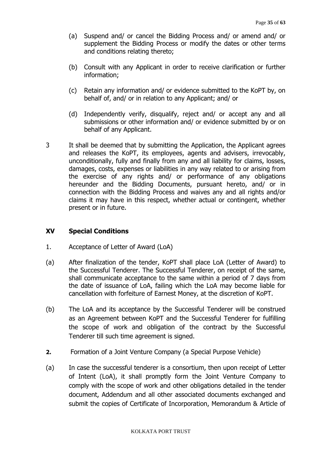- (a) Suspend and/ or cancel the Bidding Process and/ or amend and/ or supplement the Bidding Process or modify the dates or other terms and conditions relating thereto;
- (b) Consult with any Applicant in order to receive clarification or further information;
- (c) Retain any information and/ or evidence submitted to the KoPT by, on behalf of, and/ or in relation to any Applicant; and/ or
- (d) Independently verify, disqualify, reject and/ or accept any and all submissions or other information and/ or evidence submitted by or on behalf of any Applicant.
- 3 It shall be deemed that by submitting the Application, the Applicant agrees and releases the KoPT, its employees, agents and advisers, irrevocably, unconditionally, fully and finally from any and all liability for claims, losses, damages, costs, expenses or liabilities in any way related to or arising from the exercise of any rights and/ or performance of any obligations hereunder and the Bidding Documents, pursuant hereto, and/ or in connection with the Bidding Process and waives any and all rights and/or claims it may have in this respect, whether actual or contingent, whether present or in future.

# **XV Special Conditions**

- 1. Acceptance of Letter of Award (LoA)
- (a) After finalization of the tender, KoPT shall place LoA (Letter of Award) to the Successful Tenderer. The Successful Tenderer, on receipt of the same, shall communicate acceptance to the same within a period of 7 days from the date of issuance of LoA, failing which the LoA may become liable for cancellation with forfeiture of Earnest Money, at the discretion of KoPT.
- (b) The LoA and its acceptance by the Successful Tenderer will be construed as an Agreement between KoPT and the Successful Tenderer for fulfilling the scope of work and obligation of the contract by the Successful Tenderer till such time agreement is signed.
- **2.** Formation of a Joint Venture Company (a Special Purpose Vehicle)
- (a) In case the successful tenderer is a consortium, then upon receipt of Letter of Intent (LoA), it shall promptly form the Joint Venture Company to comply with the scope of work and other obligations detailed in the tender document, Addendum and all other associated documents exchanged and submit the copies of Certificate of Incorporation, Memorandum & Article of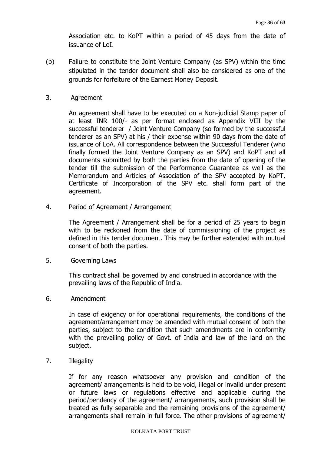Association etc. to KoPT within a period of 45 days from the date of issuance of LoI.

- (b) Failure to constitute the Joint Venture Company (as SPV) within the time stipulated in the tender document shall also be considered as one of the grounds for forfeiture of the Earnest Money Deposit.
- 3. Agreement

An agreement shall have to be executed on a Non-judicial Stamp paper of at least INR 100/- as per format enclosed as Appendix VIII by the successful tenderer / Joint Venture Company (so formed by the successful tenderer as an SPV) at his / their expense within 90 days from the date of issuance of LoA. All correspondence between the Successful Tenderer (who finally formed the Joint Venture Company as an SPV) and KoPT and all documents submitted by both the parties from the date of opening of the tender till the submission of the Performance Guarantee as well as the Memorandum and Articles of Association of the SPV accepted by KoPT, Certificate of Incorporation of the SPV etc. shall form part of the agreement.

4. Period of Agreement / Arrangement

The Agreement / Arrangement shall be for a period of 25 years to begin with to be reckoned from the date of commissioning of the project as defined in this tender document. This may be further extended with mutual consent of both the parties.

5. Governing Laws

This contract shall be governed by and construed in accordance with the prevailing laws of the Republic of India.

6. Amendment

In case of exigency or for operational requirements, the conditions of the agreement/arrangement may be amended with mutual consent of both the parties, subject to the condition that such amendments are in conformity with the prevailing policy of Govt. of India and law of the land on the subject.

7. Illegality

If for any reason whatsoever any provision and condition of the agreement/ arrangements is held to be void, illegal or invalid under present or future laws or regulations effective and applicable during the period/pendency of the agreement/ arrangements, such provision shall be treated as fully separable and the remaining provisions of the agreement/ arrangements shall remain in full force. The other provisions of agreement/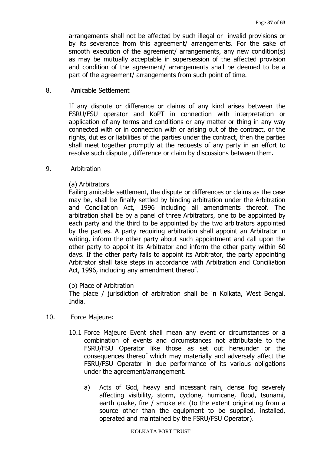arrangements shall not be affected by such illegal or invalid provisions or by its severance from this agreement/ arrangements. For the sake of smooth execution of the agreement/ arrangements, any new condition(s) as may be mutually acceptable in supersession of the affected provision and condition of the agreement/ arrangements shall be deemed to be a part of the agreement/ arrangements from such point of time.

#### 8. Amicable Settlement

If any dispute or difference or claims of any kind arises between the FSRU/FSU operator and KoPT in connection with interpretation or application of any terms and conditions or any matter or thing in any way connected with or in connection with or arising out of the contract, or the rights, duties or liabilities of the parties under the contract, then the parties shall meet together promptly at the requests of any party in an effort to resolve such dispute , difference or claim by discussions between them.

#### 9. Arbitration

#### (a) Arbitrators

Failing amicable settlement, the dispute or differences or claims as the case may be, shall be finally settled by binding arbitration under the Arbitration and Conciliation Act, 1996 including all amendments thereof. The arbitration shall be by a panel of three Arbitrators, one to be appointed by each party and the third to be appointed by the two arbitrators appointed by the parties. A party requiring arbitration shall appoint an Arbitrator in writing, inform the other party about such appointment and call upon the other party to appoint its Arbitrator and inform the other party within 60 days. If the other party fails to appoint its Arbitrator, the party appointing Arbitrator shall take steps in accordance with Arbitration and Conciliation Act, 1996, including any amendment thereof.

#### (b) Place of Arbitration

The place / jurisdiction of arbitration shall be in Kolkata, West Bengal, India.

- 10. Force Majeure:
	- 10.1 Force Majeure Event shall mean any event or circumstances or a combination of events and circumstances not attributable to the FSRU/FSU Operator like those as set out hereunder or the consequences thereof which may materially and adversely affect the FSRU/FSU Operator in due performance of its various obligations under the agreement/arrangement.
		- a) Acts of God, heavy and incessant rain, dense fog severely affecting visibility, storm, cyclone, hurricane, flood, tsunami, earth quake, fire / smoke etc (to the extent originating from a source other than the equipment to be supplied, installed, operated and maintained by the FSRU/FSU Operator).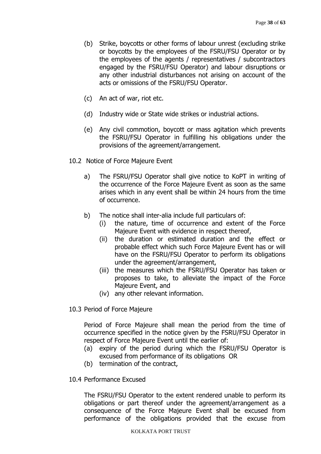- (b) Strike, boycotts or other forms of labour unrest (excluding strike or boycotts by the employees of the FSRU/FSU Operator or by the employees of the agents / representatives / subcontractors engaged by the FSRU/FSU Operator) and labour disruptions or any other industrial disturbances not arising on account of the acts or omissions of the FSRU/FSU Operator.
- (c) An act of war, riot etc.
- (d) Industry wide or State wide strikes or industrial actions.
- (e) Any civil commotion, boycott or mass agitation which prevents the FSRU/FSU Operator in fulfilling his obligations under the provisions of the agreement/arrangement.
- 10.2 Notice of Force Majeure Event
	- a) The FSRU/FSU Operator shall give notice to KoPT in writing of the occurrence of the Force Majeure Event as soon as the same arises which in any event shall be within 24 hours from the time of occurrence.
	- b) The notice shall inter-alia include full particulars of:
		- (i) the nature, time of occurrence and extent of the Force Majeure Event with evidence in respect thereof,
		- (ii) the duration or estimated duration and the effect or probable effect which such Force Majeure Event has or will have on the FSRU/FSU Operator to perform its obligations under the agreement/arrangement,
		- (iii) the measures which the FSRU/FSU Operator has taken or proposes to take, to alleviate the impact of the Force Majeure Event, and
		- (iv) any other relevant information.
- 10.3 Period of Force Majeure

Period of Force Majeure shall mean the period from the time of occurrence specified in the notice given by the FSRU/FSU Operator in respect of Force Majeure Event until the earlier of:

- (a) expiry of the period during which the FSRU/FSU Operator is excused from performance of its obligations OR
- (b) termination of the contract,
- 10.4 Performance Excused

The FSRU/FSU Operator to the extent rendered unable to perform its obligations or part thereof under the agreement/arrangement as a consequence of the Force Majeure Event shall be excused from performance of the obligations provided that the excuse from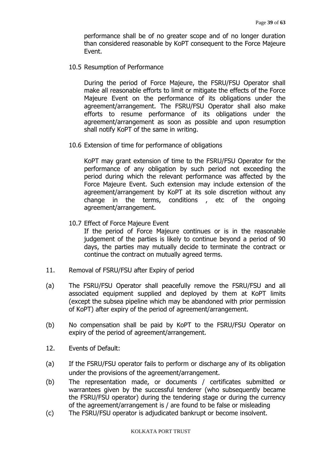performance shall be of no greater scope and of no longer duration than considered reasonable by KoPT consequent to the Force Majeure Event.

10.5 Resumption of Performance

During the period of Force Majeure, the FSRU/FSU Operator shall make all reasonable efforts to limit or mitigate the effects of the Force Majeure Event on the performance of its obligations under the agreement/arrangement. The FSRU/FSU Operator shall also make efforts to resume performance of its obligations under the agreement/arrangement as soon as possible and upon resumption shall notify KoPT of the same in writing.

10.6 Extension of time for performance of obligations

KoPT may grant extension of time to the FSRU/FSU Operator for the performance of any obligation by such period not exceeding the period during which the relevant performance was affected by the Force Majeure Event. Such extension may include extension of the agreement/arrangement by KoPT at its sole discretion without any change in the terms, conditions , etc of the ongoing agreement/arrangement.

10.7 Effect of Force Majeure Event

If the period of Force Majeure continues or is in the reasonable judgement of the parties is likely to continue beyond a period of 90 days, the parties may mutually decide to terminate the contract or continue the contract on mutually agreed terms.

- 11. Removal of FSRU/FSU after Expiry of period
- (a) The FSRU/FSU Operator shall peacefully remove the FSRU/FSU and all associated equipment supplied and deployed by them at KoPT limits (except the subsea pipeline which may be abandoned with prior permission of KoPT) after expiry of the period of agreement/arrangement.
- (b) No compensation shall be paid by KoPT to the FSRU/FSU Operator on expiry of the period of agreement/arrangement.
- 12. Events of Default:
- (a) If the FSRU/FSU operator fails to perform or discharge any of its obligation under the provisions of the agreement/arrangement.
- (b) The representation made, or documents / certificates submitted or warrantees given by the successful tenderer (who subsequently became the FSRU/FSU operator) during the tendering stage or during the currency of the agreement/arrangement is / are found to be false or misleading
- (c) The FSRU/FSU operator is adjudicated bankrupt or become insolvent.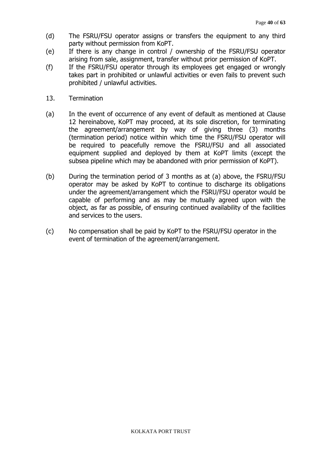- (d) The FSRU/FSU operator assigns or transfers the equipment to any third party without permission from KoPT.
- (e) If there is any change in control / ownership of the FSRU/FSU operator arising from sale, assignment, transfer without prior permission of KoPT.
- (f) If the FSRU/FSU operator through its employees get engaged or wrongly takes part in prohibited or unlawful activities or even fails to prevent such prohibited / unlawful activities.
- 13. Termination
- (a) In the event of occurrence of any event of default as mentioned at Clause 12 hereinabove, KoPT may proceed, at its sole discretion, for terminating the agreement/arrangement by way of giving three (3) months (termination period) notice within which time the FSRU/FSU operator will be required to peacefully remove the FSRU/FSU and all associated equipment supplied and deployed by them at KoPT limits (except the subsea pipeline which may be abandoned with prior permission of KoPT).
- (b) During the termination period of 3 months as at (a) above, the FSRU/FSU operator may be asked by KoPT to continue to discharge its obligations under the agreement/arrangement which the FSRU/FSU operator would be capable of performing and as may be mutually agreed upon with the object, as far as possible, of ensuring continued availability of the facilities and services to the users.
- (c) No compensation shall be paid by KoPT to the FSRU/FSU operator in the event of termination of the agreement/arrangement.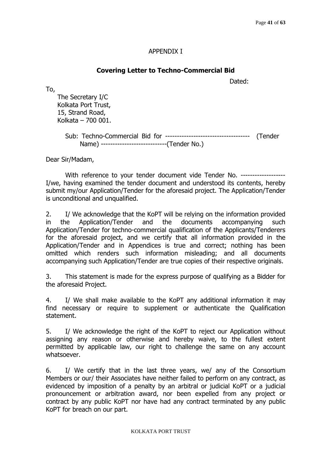# APPENDIX I

# **Covering Letter to Techno-Commercial Bid**

Dated:

To,

The Secretary I/C Kolkata Port Trust, 15, Strand Road, Kolkata – 700 001.

> Sub: Techno-Commercial Bid for ------------------------------------ (Tender Name) ----------------------------(Tender No.)

Dear Sir/Madam,

With reference to your tender document vide Tender No. -------------------I/we, having examined the tender document and understood its contents, hereby submit my/our Application/Tender for the aforesaid project. The Application/Tender is unconditional and unqualified.

2. I/ We acknowledge that the KoPT will be relying on the information provided in the Application/Tender and the documents accompanying such Application/Tender for techno-commercial qualification of the Applicants/Tenderers for the aforesaid project, and we certify that all information provided in the Application/Tender and in Appendices is true and correct; nothing has been omitted which renders such information misleading; and all documents accompanying such Application/Tender are true copies of their respective originals.

3. This statement is made for the express purpose of qualifying as a Bidder for the aforesaid Project.

4. I/ We shall make available to the KoPT any additional information it may find necessary or require to supplement or authenticate the Qualification statement.

5. I/ We acknowledge the right of the KoPT to reject our Application without assigning any reason or otherwise and hereby waive, to the fullest extent permitted by applicable law, our right to challenge the same on any account whatsoever.

6. I/ We certify that in the last three years, we/ any of the Consortium Members or our/ their Associates have neither failed to perform on any contract, as evidenced by imposition of a penalty by an arbitral or judicial KoPT or a judicial pronouncement or arbitration award, nor been expelled from any project or contract by any public KoPT nor have had any contract terminated by any public KoPT for breach on our part.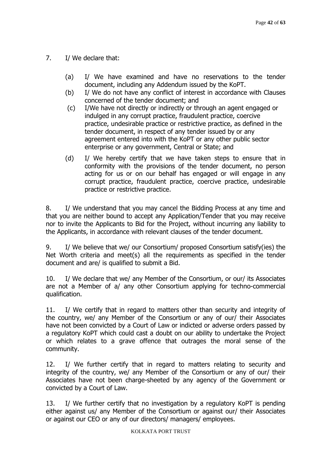# 7. I/ We declare that:

- (a) I/ We have examined and have no reservations to the tender document, including any Addendum issued by the KoPT.
- (b) I/ We do not have any conflict of interest in accordance with Clauses concerned of the tender document; and
- (c) I/We have not directly or indirectly or through an agent engaged or indulged in any corrupt practice, fraudulent practice, coercive practice, undesirable practice or restrictive practice, as defined in the tender document, in respect of any tender issued by or any agreement entered into with the KoPT or any other public sector enterprise or any government, Central or State; and
- (d) I/ We hereby certify that we have taken steps to ensure that in conformity with the provisions of the tender document, no person acting for us or on our behalf has engaged or will engage in any corrupt practice, fraudulent practice, coercive practice, undesirable practice or restrictive practice.

8. I/ We understand that you may cancel the Bidding Process at any time and that you are neither bound to accept any Application/Tender that you may receive nor to invite the Applicants to Bid for the Project, without incurring any liability to the Applicants, in accordance with relevant clauses of the tender document.

9. I/ We believe that we/ our Consortium/ proposed Consortium satisfy(ies) the Net Worth criteria and meet(s) all the requirements as specified in the tender document and are/ is qualified to submit a Bid.

10. I/ We declare that we/ any Member of the Consortium, or our/ its Associates are not a Member of a/ any other Consortium applying for techno-commercial qualification.

11. I/ We certify that in regard to matters other than security and integrity of the country, we/ any Member of the Consortium or any of our/ their Associates have not been convicted by a Court of Law or indicted or adverse orders passed by a regulatory KoPT which could cast a doubt on our ability to undertake the Project or which relates to a grave offence that outrages the moral sense of the community.

12. I/ We further certify that in regard to matters relating to security and integrity of the country, we/ any Member of the Consortium or any of our/ their Associates have not been charge-sheeted by any agency of the Government or convicted by a Court of Law.

13. I/ We further certify that no investigation by a regulatory KoPT is pending either against us/ any Member of the Consortium or against our/ their Associates or against our CEO or any of our directors/ managers/ employees.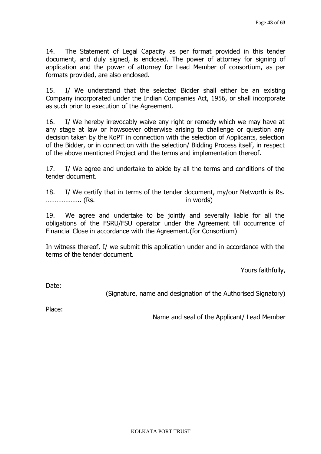14. The Statement of Legal Capacity as per format provided in this tender document, and duly signed, is enclosed. The power of attorney for signing of application and the power of attorney for Lead Member of consortium, as per formats provided, are also enclosed.

15. I/ We understand that the selected Bidder shall either be an existing Company incorporated under the Indian Companies Act, 1956, or shall incorporate as such prior to execution of the Agreement.

16. I/ We hereby irrevocably waive any right or remedy which we may have at any stage at law or howsoever otherwise arising to challenge or question any decision taken by the KoPT in connection with the selection of Applicants, selection of the Bidder, or in connection with the selection/ Bidding Process itself, in respect of the above mentioned Project and the terms and implementation thereof.

17. I/ We agree and undertake to abide by all the terms and conditions of the tender document.

18. I/ We certify that in terms of the tender document, my/our Networth is Rs. ……………….. (Rs. in words)

19. We agree and undertake to be jointly and severally liable for all the obligations of the FSRU/FSU operator under the Agreement till occurrence of Financial Close in accordance with the Agreement.(for Consortium)

In witness thereof, I/ we submit this application under and in accordance with the terms of the tender document.

Yours faithfully,

Date:

(Signature, name and designation of the Authorised Signatory)

Place:

Name and seal of the Applicant/ Lead Member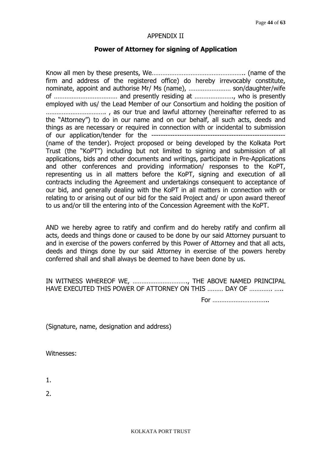#### APPENDIX II

#### **Power of Attorney for signing of Application**

Know all men by these presents, We…………………………………………….. (name of the firm and address of the registered office) do hereby irrevocably constitute, nominate, appoint and authorise Mr/ Ms (name), …………………… son/daughter/wife of ……………………………… and presently residing at …………………., who is presently employed with us/ the Lead Member of our Consortium and holding the position of ……………………………. , as our true and lawful attorney (hereinafter referred to as the "Attorney") to do in our name and on our behalf, all such acts, deeds and things as are necessary or required in connection with or incidental to submission of our application/tender for the --------------------------------------------------------- (name of the tender). Project proposed or being developed by the Kolkata Port Trust (the "KoPT") including but not limited to signing and submission of all applications, bids and other documents and writings, participate in Pre-Applications and other conferences and providing information/ responses to the KoPT, representing us in all matters before the KoPT, signing and execution of all contracts including the Agreement and undertakings consequent to acceptance of our bid, and generally dealing with the KoPT in all matters in connection with or relating to or arising out of our bid for the said Project and/ or upon award thereof to us and/or till the entering into of the Concession Agreement with the KoPT.

AND we hereby agree to ratify and confirm and do hereby ratify and confirm all acts, deeds and things done or caused to be done by our said Attorney pursuant to and in exercise of the powers conferred by this Power of Attorney and that all acts, deeds and things done by our said Attorney in exercise of the powers hereby conferred shall and shall always be deemed to have been done by us.

IN WITNESS WHEREOF WE, …………………………., THE ABOVE NAMED PRINCIPAL HAVE EXECUTED THIS POWER OF ATTORNEY ON THIS ……… DAY OF …………. …..

For …………………………..

(Signature, name, designation and address)

Witnesses:

1.

 $2<sub>1</sub>$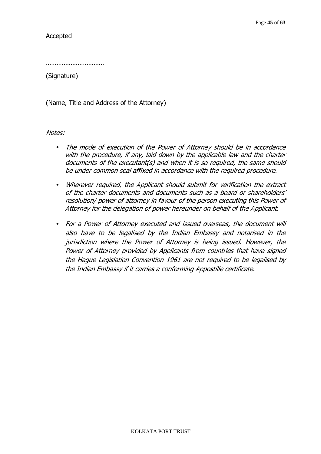Accepted

…………………………………

(Signature)

(Name, Title and Address of the Attorney)

Notes:

- The mode of execution of the Power of Attorney should be in accordance with the procedure, if any, laid down by the applicable law and the charter documents of the executant(s) and when it is so required, the same should be under common seal affixed in accordance with the required procedure.
- Wherever required, the Applicant should submit for verification the extract of the charter documents and documents such as a board or shareholders' resolution/ power of attorney in favour of the person executing this Power of Attorney for the delegation of power hereunder on behalf of the Applicant.
- For a Power of Attorney executed and issued overseas, the document will also have to be legalised by the Indian Embassy and notarised in the jurisdiction where the Power of Attorney is being issued. However, the Power of Attorney provided by Applicants from countries that have signed the Hague Legislation Convention 1961 are not required to be legalised by the Indian Embassy if it carries a conforming Appostille certificate.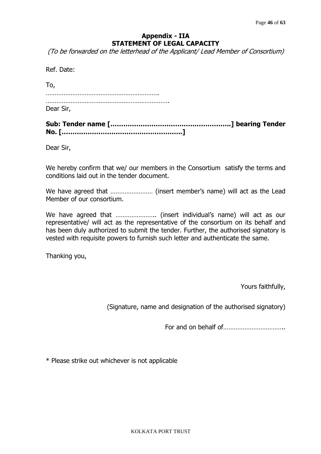# **Appendix - IIA STATEMENT OF LEGAL CAPACITY**

(To be forwarded on the letterhead of the Applicant/ Lead Member of Consortium)

| Ref. Date: |  |
|------------|--|
| To,        |  |
|            |  |
| Dear Sir,  |  |

Dear Sir,

We hereby confirm that we/ our members in the Consortium satisfy the terms and conditions laid out in the tender document.

We have agreed that …………………… (insert member's name) will act as the Lead Member of our consortium.

We have agreed that ………………….. (insert individual's name) will act as our representative/ will act as the representative of the consortium on its behalf and has been duly authorized to submit the tender. Further, the authorised signatory is vested with requisite powers to furnish such letter and authenticate the same.

Thanking you,

Yours faithfully,

(Signature, name and designation of the authorised signatory)

For and on behalf of……………………………..

\* Please strike out whichever is not applicable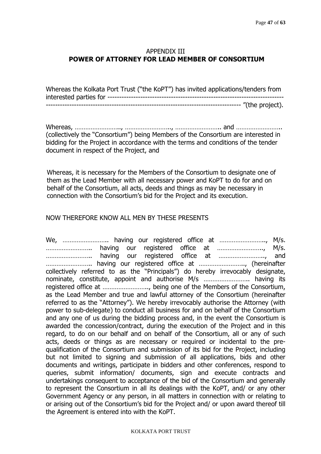# APPENDIX III **POWER OF ATTORNEY FOR LEAD MEMBER OF CONSORTIUM**

| Whereas the Kolkata Port Trust ("the KoPT") has invited applications/tenders from |  |
|-----------------------------------------------------------------------------------|--|
|                                                                                   |  |
|                                                                                   |  |

Whereas, ………………………, ………………………, …………………………… and ……………………… (collectively the "Consortium") being Members of the Consortium are interested in bidding for the Project in accordance with the terms and conditions of the tender document in respect of the Project, and

Whereas, it is necessary for the Members of the Consortium to designate one of them as the Lead Member with all necessary power and KoPT to do for and on behalf of the Consortium, all acts, deeds and things as may be necessary in connection with the Consortium's bid for the Project and its execution.

## NOW THEREFORE KNOW ALL MEN BY THESE PRESENTS

We, …………………….. having our registered office at …………………….., M/s. …………………….. having our registered office at …………………….., M/s. …………………….. having our registered office at …………………….., and …………………….. having our registered office at …………………….., (hereinafter collectively referred to as the "Principals") do hereby irrevocably designate, nominate, constitute, appoint and authorise M/s …………………….. having its registered office at …………………….., being one of the Members of the Consortium, as the Lead Member and true and lawful attorney of the Consortium (hereinafter referred to as the "Attorney"). We hereby irrevocably authorise the Attorney (with power to sub-delegate) to conduct all business for and on behalf of the Consortium and any one of us during the bidding process and, in the event the Consortium is awarded the concession/contract, during the execution of the Project and in this regard, to do on our behalf and on behalf of the Consortium, all or any of such acts, deeds or things as are necessary or required or incidental to the prequalification of the Consortium and submission of its bid for the Project, including but not limited to signing and submission of all applications, bids and other documents and writings, participate in bidders and other conferences, respond to queries, submit information/ documents, sign and execute contracts and undertakings consequent to acceptance of the bid of the Consortium and generally to represent the Consortium in all its dealings with the KoPT, and/ or any other Government Agency or any person, in all matters in connection with or relating to or arising out of the Consortium's bid for the Project and/ or upon award thereof till the Agreement is entered into with the KoPT.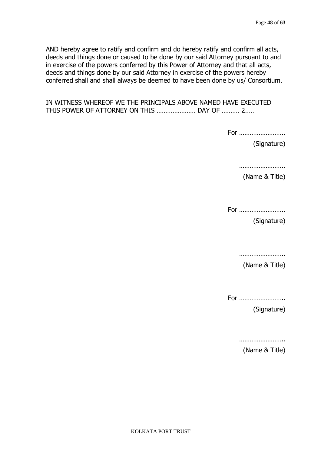AND hereby agree to ratify and confirm and do hereby ratify and confirm all acts, deeds and things done or caused to be done by our said Attorney pursuant to and in exercise of the powers conferred by this Power of Attorney and that all acts, deeds and things done by our said Attorney in exercise of the powers hereby conferred shall and shall always be deemed to have been done by us/ Consortium.

IN WITNESS WHEREOF WE THE PRINCIPALS ABOVE NAMED HAVE EXECUTED THIS POWER OF ATTORNEY ON THIS …………………. DAY OF ………. 2..…

For ……………………..

(Signature)

………………………

(Name & Title)

For ……………………..

(Signature)

|--|

(Name & Title)

For ……………………..

(Signature)

………………………

(Name & Title)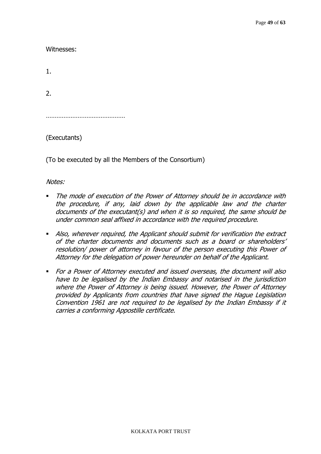Witnesses:

1.

2.

………………………………………………

(Executants)

(To be executed by all the Members of the Consortium)

Notes:

- The mode of execution of the Power of Attorney should be in accordance with the procedure, if any, laid down by the applicable law and the charter documents of the executant(s) and when it is so required, the same should be under common seal affixed in accordance with the required procedure.
- Also, wherever required, the Applicant should submit for verification the extract of the charter documents and documents such as a board or shareholders' resolution/ power of attorney in favour of the person executing this Power of Attorney for the delegation of power hereunder on behalf of the Applicant.
- For a Power of Attorney executed and issued overseas, the document will also have to be legalised by the Indian Embassy and notarised in the jurisdiction where the Power of Attorney is being issued. However, the Power of Attorney provided by Applicants from countries that have signed the Hague Legislation Convention 1961 are not required to be legalised by the Indian Embassy if it carries a conforming Appostille certificate.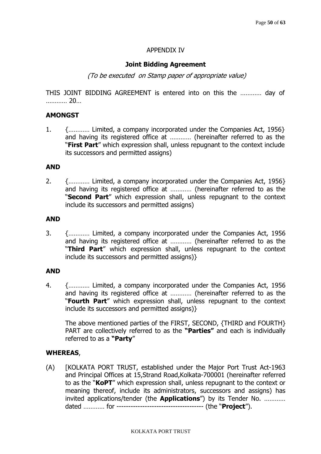## APPENDIX IV

#### **Joint Bidding Agreement**

(To be executed on Stamp paper of appropriate value)

THIS JOINT BIDDING AGREEMENT is entered into on this the ………… day of ………… 20…

#### **AMONGST**

1. {………… Limited, a company incorporated under the Companies Act, 1956} and having its registered office at ………… (hereinafter referred to as the "**First Part**" which expression shall, unless repugnant to the context include its successors and permitted assigns)

#### **AND**

2. {………… Limited, a company incorporated under the Companies Act, 1956} and having its registered office at ………… (hereinafter referred to as the "**Second Part**" which expression shall, unless repugnant to the context include its successors and permitted assigns)

#### **AND**

3. {………… Limited, a company incorporated under the Companies Act, 1956 and having its registered office at ………… (hereinafter referred to as the "**Third Part**" which expression shall, unless repugnant to the context include its successors and permitted assigns)}

#### **AND**

4. {………… Limited, a company incorporated under the Companies Act, 1956 and having its registered office at ………… (hereinafter referred to as the "**Fourth Part**" which expression shall, unless repugnant to the context include its successors and permitted assigns)}

The above mentioned parties of the FIRST, SECOND, {THIRD and FOURTH} PART are collectively referred to as the **"Parties"** and each is individually referred to as a **"Party**"

#### **WHEREAS**,

(A) [KOLKATA PORT TRUST, established under the Major Port Trust Act-1963 and Principal Offices at 15,Strand Road,Kolkata-700001 (hereinafter referred to as the "**KoPT**" which expression shall, unless repugnant to the context or meaning thereof, include its administrators, successors and assigns) has invited applications/tender (the **Applications**") by its Tender No. ………… dated ………… for ------------------------------------- (the "**Project**").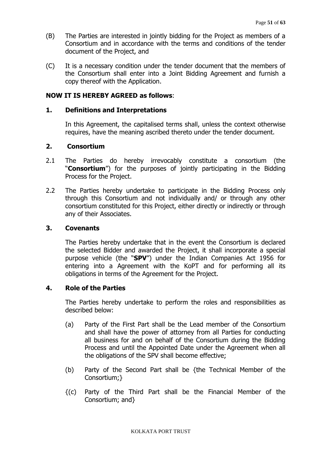- (B) The Parties are interested in jointly bidding for the Project as members of a Consortium and in accordance with the terms and conditions of the tender document of the Project, and
- (C) It is a necessary condition under the tender document that the members of the Consortium shall enter into a Joint Bidding Agreement and furnish a copy thereof with the Application.

## **NOW IT IS HEREBY AGREED as follows**:

#### **1. Definitions and Interpretations**

In this Agreement, the capitalised terms shall, unless the context otherwise requires, have the meaning ascribed thereto under the tender document.

## **2. Consortium**

- 2.1 The Parties do hereby irrevocably constitute a consortium (the "**Consortium**") for the purposes of jointly participating in the Bidding Process for the Project.
- 2.2 The Parties hereby undertake to participate in the Bidding Process only through this Consortium and not individually and/ or through any other consortium constituted for this Project, either directly or indirectly or through any of their Associates.

#### **3. Covenants**

The Parties hereby undertake that in the event the Consortium is declared the selected Bidder and awarded the Project, it shall incorporate a special purpose vehicle (the "**SPV**") under the Indian Companies Act 1956 for entering into a Agreement with the KoPT and for performing all its obligations in terms of the Agreement for the Project.

## **4. Role of the Parties**

The Parties hereby undertake to perform the roles and responsibilities as described below:

- (a) Party of the First Part shall be the Lead member of the Consortium and shall have the power of attorney from all Parties for conducting all business for and on behalf of the Consortium during the Bidding Process and until the Appointed Date under the Agreement when all the obligations of the SPV shall become effective;
- (b) Party of the Second Part shall be {the Technical Member of the Consortium;}
- {(c) Party of the Third Part shall be the Financial Member of the Consortium; and}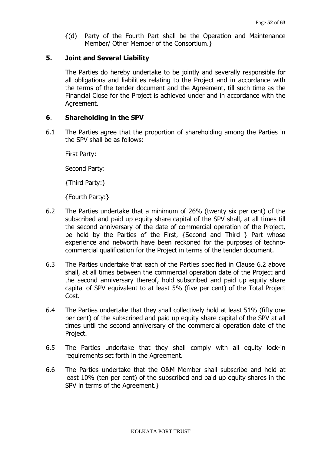{(d) Party of the Fourth Part shall be the Operation and Maintenance Member/ Other Member of the Consortium.}

#### **5. Joint and Several Liability**

The Parties do hereby undertake to be jointly and severally responsible for all obligations and liabilities relating to the Project and in accordance with the terms of the tender document and the Agreement, till such time as the Financial Close for the Project is achieved under and in accordance with the Agreement.

#### **6**. **Shareholding in the SPV**

6.1 The Parties agree that the proportion of shareholding among the Parties in the SPV shall be as follows:

First Party:

Second Party:

{Third Party:}

{Fourth Party:}

- 6.2 The Parties undertake that a minimum of 26% (twenty six per cent) of the subscribed and paid up equity share capital of the SPV shall, at all times till the second anniversary of the date of commercial operation of the Project, be held by the Parties of the First, {Second and Third } Part whose experience and networth have been reckoned for the purposes of technocommercial qualification for the Project in terms of the tender document.
- 6.3 The Parties undertake that each of the Parties specified in Clause 6.2 above shall, at all times between the commercial operation date of the Project and the second anniversary thereof, hold subscribed and paid up equity share capital of SPV equivalent to at least 5% (five per cent) of the Total Project Cost.
- 6.4 The Parties undertake that they shall collectively hold at least 51% (fifty one per cent) of the subscribed and paid up equity share capital of the SPV at all times until the second anniversary of the commercial operation date of the Project.
- 6.5 The Parties undertake that they shall comply with all equity lock-in requirements set forth in the Agreement.
- 6.6 The Parties undertake that the O&M Member shall subscribe and hold at least 10% (ten per cent) of the subscribed and paid up equity shares in the SPV in terms of the Agreement.}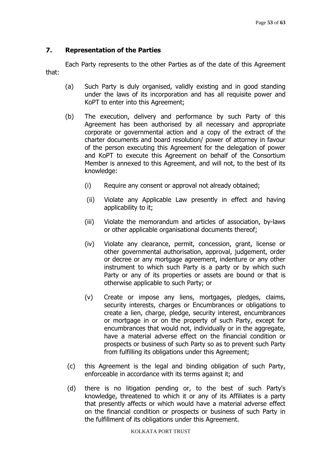# **7. Representation of the Parties**

Each Party represents to the other Parties as of the date of this Agreement that:

- (a) Such Party is duly organised, validly existing and in good standing under the laws of its incorporation and has all requisite power and KoPT to enter into this Agreement;
- (b) The execution, delivery and performance by such Party of this Agreement has been authorised by all necessary and appropriate corporate or governmental action and a copy of the extract of the charter documents and board resolution/ power of attorney in favour of the person executing this Agreement for the delegation of power and KoPT to execute this Agreement on behalf of the Consortium Member is annexed to this Agreement, and will not, to the best of its knowledge:
	- (i) Require any consent or approval not already obtained;
	- (ii) Violate any Applicable Law presently in effect and having applicability to it;
	- (iii) Violate the memorandum and articles of association, by-laws or other applicable organisational documents thereof;
	- (iv) Violate any clearance, permit, concession, grant, license or other governmental authorisation, approval, judgement, order or decree or any mortgage agreement, indenture or any other instrument to which such Party is a party or by which such Party or any of its properties or assets are bound or that is otherwise applicable to such Party; or
	- (v) Create or impose any liens, mortgages, pledges, claims, security interests, charges or Encumbrances or obligations to create a lien, charge, pledge, security interest, encumbrances or mortgage in or on the property of such Party, except for encumbrances that would not, individually or in the aggregate, have a material adverse effect on the financial condition or prospects or business of such Party so as to prevent such Party from fulfilling its obligations under this Agreement;
- (c) this Agreement is the legal and binding obligation of such Party, enforceable in accordance with its terms against it; and
- (d) there is no litigation pending or, to the best of such Party's knowledge, threatened to which it or any of its Affiliates is a party that presently affects or which would have a material adverse effect on the financial condition or prospects or business of such Party in the fulfillment of its obligations under this Agreement.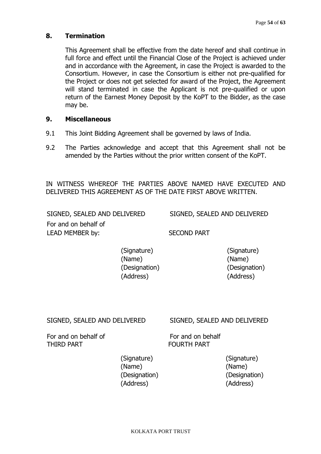## **8. Termination**

This Agreement shall be effective from the date hereof and shall continue in full force and effect until the Financial Close of the Project is achieved under and in accordance with the Agreement, in case the Project is awarded to the Consortium. However, in case the Consortium is either not pre-qualified for the Project or does not get selected for award of the Project, the Agreement will stand terminated in case the Applicant is not pre-qualified or upon return of the Earnest Money Deposit by the KoPT to the Bidder, as the case may be.

#### **9. Miscellaneous**

- 9.1 This Joint Bidding Agreement shall be governed by laws of India.
- 9.2 The Parties acknowledge and accept that this Agreement shall not be amended by the Parties without the prior written consent of the KoPT.

IN WITNESS WHEREOF THE PARTIES ABOVE NAMED HAVE EXECUTED AND DELIVERED THIS AGREEMENT AS OF THE DATE FIRST ABOVE WRITTEN.

SIGNED, SEALED AND DELIVERED SIGNED, SEALED AND DELIVERED For and on behalf of LEAD MEMBER by: SECOND PART

> (Signature) (Signature) (Name) (Name) (Designation) (Designation) (Address) (Address)

# SIGNED, SEALED AND DELIVERED SIGNED, SEALED AND DELIVERED

For and on behalf of For and on behalf THIRD PART FOURTH PART

(Name) (Name) (Address) (Address)

(Signature) (Signature) (Designation) (Designation)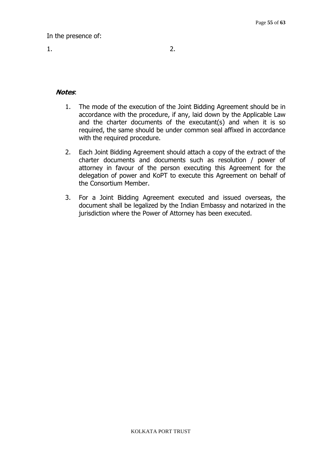## **Notes**:

- 1. The mode of the execution of the Joint Bidding Agreement should be in accordance with the procedure, if any, laid down by the Applicable Law and the charter documents of the executant(s) and when it is so required, the same should be under common seal affixed in accordance with the required procedure.
- 2. Each Joint Bidding Agreement should attach a copy of the extract of the charter documents and documents such as resolution / power of attorney in favour of the person executing this Agreement for the delegation of power and KoPT to execute this Agreement on behalf of the Consortium Member.
- 3. For a Joint Bidding Agreement executed and issued overseas, the document shall be legalized by the Indian Embassy and notarized in the jurisdiction where the Power of Attorney has been executed.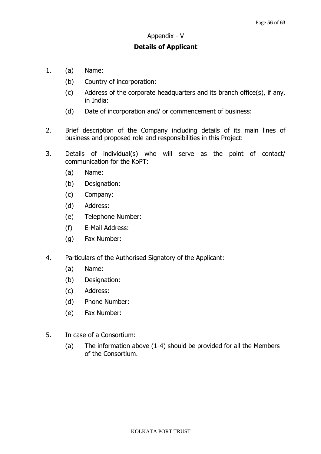#### Appendix - V

#### **Details of Applicant**

- 1. (a) Name:
	- (b) Country of incorporation:
	- (c) Address of the corporate headquarters and its branch office(s), if any, in India:
	- (d) Date of incorporation and/ or commencement of business:
- 2. Brief description of the Company including details of its main lines of business and proposed role and responsibilities in this Project:
- 3. Details of individual(s) who will serve as the point of contact/ communication for the KoPT:
	- (a) Name:
	- (b) Designation:
	- (c) Company:
	- (d) Address:
	- (e) Telephone Number:
	- (f) E-Mail Address:
	- (g) Fax Number:
- 4. Particulars of the Authorised Signatory of the Applicant:
	- (a) Name:
	- (b) Designation:
	- (c) Address:
	- (d) Phone Number:
	- (e) Fax Number:
- 5. In case of a Consortium:
	- (a) The information above (1-4) should be provided for all the Members of the Consortium.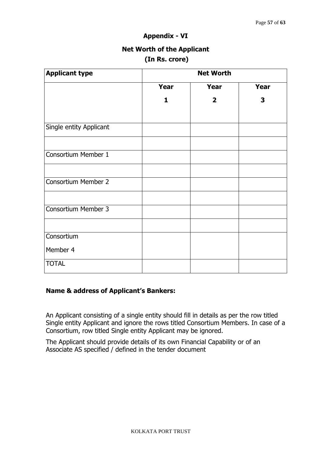#### **Appendix - VI**

# **Net Worth of the Applicant (In Rs. crore)**

| <b>Applicant type</b>      | <b>Net Worth</b> |                         |      |  |  |
|----------------------------|------------------|-------------------------|------|--|--|
|                            | Year             | Year                    | Year |  |  |
|                            | 1                | $\overline{\mathbf{2}}$ | 3    |  |  |
| Single entity Applicant    |                  |                         |      |  |  |
| Consortium Member 1        |                  |                         |      |  |  |
| <b>Consortium Member 2</b> |                  |                         |      |  |  |
| <b>Consortium Member 3</b> |                  |                         |      |  |  |
|                            |                  |                         |      |  |  |
| Consortium<br>Member 4     |                  |                         |      |  |  |
| <b>TOTAL</b>               |                  |                         |      |  |  |

## **Name & address of Applicant's Bankers:**

An Applicant consisting of a single entity should fill in details as per the row titled Single entity Applicant and ignore the rows titled Consortium Members. In case of a Consortium, row titled Single entity Applicant may be ignored.

The Applicant should provide details of its own Financial Capability or of an Associate AS specified / defined in the tender document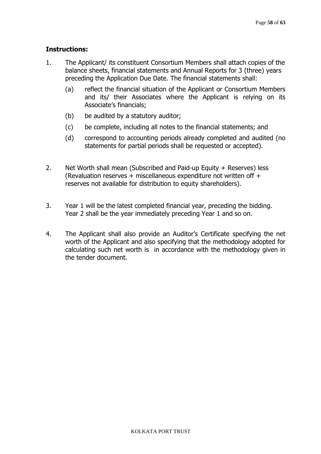## **Instructions:**

- 1. The Applicant/ its constituent Consortium Members shall attach copies of the balance sheets, financial statements and Annual Reports for 3 (three) years preceding the Application Due Date. The financial statements shall:
	- (a) reflect the financial situation of the Applicant or Consortium Members and its/ their Associates where the Applicant is relying on its Associate's financials;
	- (b) be audited by a statutory auditor;
	- (c) be complete, including all notes to the financial statements; and
	- (d) correspond to accounting periods already completed and audited (no statements for partial periods shall be requested or accepted).
- 2. Net Worth shall mean (Subscribed and Paid-up Equity + Reserves) less (Revaluation reserves + miscellaneous expenditure not written off + reserves not available for distribution to equity shareholders).
- 3. Year 1 will be the latest completed financial year, preceding the bidding. Year 2 shall be the year immediately preceding Year 1 and so on.
- 4. The Applicant shall also provide an Auditor's Certificate specifying the net worth of the Applicant and also specifying that the methodology adopted for calculating such net worth is in accordance with the methodology given in the tender document.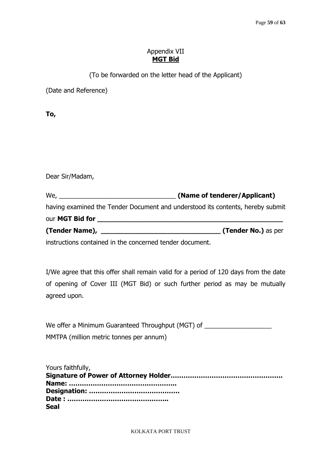## Appendix VII **MGT Bid**

(To be forwarded on the letter head of the Applicant)

(Date and Reference)

**To,** 

Dear Sir/Madam,

We, \_\_\_\_\_\_\_\_\_\_\_\_\_\_\_\_\_\_\_\_\_\_\_\_\_\_\_\_\_\_\_\_\_ **(Name of tenderer/Applicant)**  having examined the Tender Document and understood its contents, hereby submit our **MGT Bid for \_\_\_\_\_\_\_\_\_\_\_\_\_\_\_\_\_\_\_\_\_\_\_\_\_\_\_\_\_\_\_\_\_\_\_\_\_\_\_\_\_\_\_\_\_ (Tender Name), \_\_\_\_\_\_\_\_\_\_\_\_\_\_\_\_\_\_\_\_\_\_\_\_\_\_\_\_\_ (Tender No.)** as per

instructions contained in the concerned tender document.

I/We agree that this offer shall remain valid for a period of 120 days from the date of opening of Cover III (MGT Bid) or such further period as may be mutually agreed upon.

We offer a Minimum Guaranteed Throughput (MGT) of \_\_\_\_\_\_\_\_\_\_\_\_\_\_\_\_\_\_\_\_\_\_\_\_\_\_\_\_\_\_ MMTPA (million metric tonnes per annum)

Yours faithfully, **Signature of Power of Attorney Holder……………………………………………. Name: ………………………………………….. Designation: …………………………………… Date : ……………………………………….. Seal**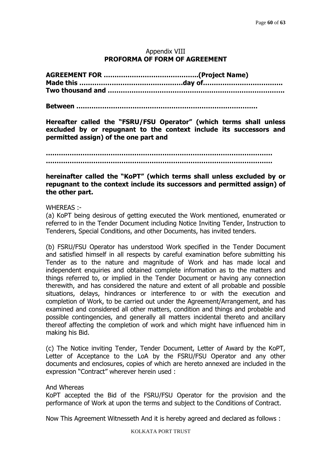## Appendix VIII **PROFORMA OF FORM OF AGREEMENT**

**Between …………………………………………………………………………** 

**Hereafter called the "FSRU/FSU Operator" (which terms shall unless excluded by or repugnant to the context include its successors and permitted assign) of the one part and** 

**……………………………………………………………………………………………** 

**……………………………………………………………………………………………** 

## **hereinafter called the "KoPT" (which terms shall unless excluded by or repugnant to the context include its successors and permitted assign) of the other part.**

#### WHEREAS :-

(a) KoPT being desirous of getting executed the Work mentioned, enumerated or referred to in the Tender Document including Notice Inviting Tender, Instruction to Tenderers, Special Conditions, and other Documents, has invited tenders.

(b) FSRU/FSU Operator has understood Work specified in the Tender Document and satisfied himself in all respects by careful examination before submitting his Tender as to the nature and magnitude of Work and has made local and independent enquiries and obtained complete information as to the matters and things referred to, or implied in the Tender Document or having any connection therewith, and has considered the nature and extent of all probable and possible situations, delays, hindrances or interference to or with the execution and completion of Work, to be carried out under the Agreement/Arrangement, and has examined and considered all other matters, condition and things and probable and possible contingencies, and generally all matters incidental thereto and ancillary thereof affecting the completion of work and which might have influenced him in making his Bid.

(c) The Notice inviting Tender, Tender Document, Letter of Award by the KoPT, Letter of Acceptance to the LoA by the FSRU/FSU Operator and any other documents and enclosures, copies of which are hereto annexed are included in the expression "Contract" wherever herein used :

#### And Whereas

KoPT accepted the Bid of the FSRU/FSU Operator for the provision and the performance of Work at upon the terms and subject to the Conditions of Contract.

Now This Agreement Witnesseth And it is hereby agreed and declared as follows :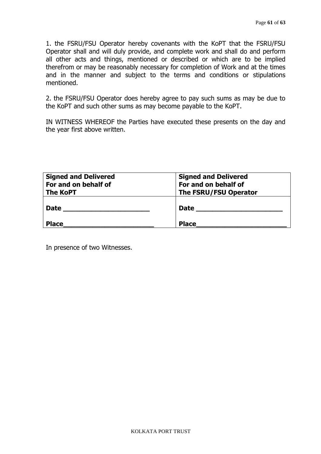1. the FSRU/FSU Operator hereby covenants with the KoPT that the FSRU/FSU Operator shall and will duly provide, and complete work and shall do and perform all other acts and things, mentioned or described or which are to be implied therefrom or may be reasonably necessary for completion of Work and at the times and in the manner and subject to the terms and conditions or stipulations mentioned.

2. the FSRU/FSU Operator does hereby agree to pay such sums as may be due to the KoPT and such other sums as may become payable to the KoPT.

IN WITNESS WHEREOF the Parties have executed these presents on the day and the year first above written.

| <b>Signed and Delivered</b><br>For and on behalf of<br><b>The KoPT</b> | <b>Signed and Delivered</b><br>For and on behalf of<br>The FSRU/FSU Operator |
|------------------------------------------------------------------------|------------------------------------------------------------------------------|
| <b>Date</b>                                                            | <b>Date</b>                                                                  |
| <b>Place</b>                                                           | <b>Place</b>                                                                 |

In presence of two Witnesses.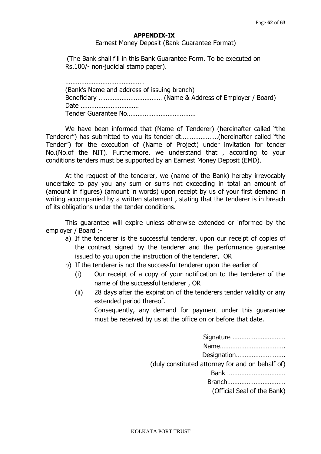#### **APPENDIX-IX**

Earnest Money Deposit (Bank Guarantee Format)

(The Bank shall fill in this Bank Guarantee Form. To be executed on Rs.100/- non-judicial stamp paper).

…………………………………………… (Bank's Name and address of issuing branch) Beneficiary ……………………………… (Name & Address of Employer / Board) Date …………………………… Tender Guarantee No…………………………………

We have been informed that (Name of Tenderer) (hereinafter called "the Tenderer") has submitted to you its tender dt…………………(hereinafter called "the Tender") for the execution of (Name of Project) under invitation for tender No.(No.of the NIT). Furthermore, we understand that , according to your conditions tenders must be supported by an Earnest Money Deposit (EMD).

At the request of the tenderer, we (name of the Bank) hereby irrevocably undertake to pay you any sum or sums not exceeding in total an amount of (amount in figures) (amount in words) upon receipt by us of your first demand in writing accompanied by a written statement , stating that the tenderer is in breach of its obligations under the tender conditions.

This guarantee will expire unless otherwise extended or informed by the employer / Board :-

- a) If the tenderer is the successful tenderer, upon our receipt of copies of the contract signed by the tenderer and the performance guarantee issued to you upon the instruction of the tenderer, OR
- b) If the tenderer is not the successful tenderer upon the earlier of
	- (i) Our receipt of a copy of your notification to the tenderer of the name of the successful tenderer , OR
	- (ii) 28 days after the expiration of the tenderers tender validity or any extended period thereof.

Consequently, any demand for payment under this guarantee must be received by us at the office on or before that date.

| Signature                                        |
|--------------------------------------------------|
|                                                  |
| Designation                                      |
| (duly constituted attorney for and on behalf of) |
| Bank                                             |
| Branch                                           |
| (Official Seal of the Bank)                      |